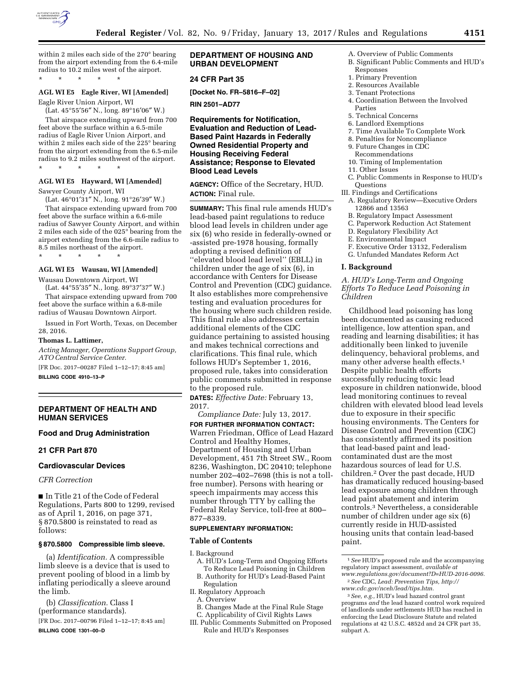

within 2 miles each side of the 270° bearing from the airport extending from the 6.4-mile radius to 10.2 miles west of the airport. \* \* \* \* \*

#### **AGL WI E5 Eagle River, WI [Amended]**

Eagle River Union Airport, WI

(Lat. 45°55′56″ N., long. 89°16′06″ W.) That airspace extending upward from 700 feet above the surface within a 6.5-mile radius of Eagle River Union Airport, and within 2 miles each side of the 225° bearing from the airport extending from the 6.5-mile radius to 9.2 miles southwest of the airport.

# **AGL WI E5 Hayward, WI [Amended]**

Sawyer County Airport, WI

\* \* \* \* \*

(Lat. 46°01′31″ N., long. 91°26′39″ W.)

That airspace extending upward from 700 feet above the surface within a 6.6-mile radius of Sawyer County Airport, and within 2 miles each side of the 025° bearing from the airport extending from the 6.6-mile radius to 8.5 miles northeast of the airport. \* \* \* \* \*

#### **AGL WI E5 Wausau, WI [Amended]**

Wausau Downtown Airport, WI (Lat. 44°55′35″ N., long. 89°37′37″ W.)

That airspace extending upward from 700 feet above the surface within a 6.8-mile radius of Wausau Downtown Airport.

Issued in Fort Worth, Texas, on December 28, 2016.

#### **Thomas L. Lattimer,**

*Acting Manager, Operations Support Group, ATO Central Service Center.* 

[FR Doc. 2017–00287 Filed 1–12–17; 8:45 am]

**BILLING CODE 4910–13–P** 

### **DEPARTMENT OF HEALTH AND HUMAN SERVICES**

#### **Food and Drug Administration**

## **21 CFR Part 870**

## **Cardiovascular Devices**

## *CFR Correction*

■ In Title 21 of the Code of Federal Regulations, Parts 800 to 1299, revised as of April 1, 2016, on page 371, § 870.5800 is reinstated to read as follows:

#### **§ 870.5800 Compressible limb sleeve.**

(a) *Identification.* A compressible limb sleeve is a device that is used to prevent pooling of blood in a limb by inflating periodically a sleeve around the limb.

(b) *Classification.* Class I (performance standards).

[FR Doc. 2017–00796 Filed 1–12–17; 8:45 am] **BILLING CODE 1301–00–D** 

## **DEPARTMENT OF HOUSING AND URBAN DEVELOPMENT**

## **24 CFR Part 35**

**[Docket No. FR–5816–F–02]** 

**RIN 2501–AD77** 

## **Requirements for Notification, Evaluation and Reduction of Lead-Based Paint Hazards in Federally Owned Residential Property and Housing Receiving Federal Assistance; Response to Elevated Blood Lead Levels**

**AGENCY:** Office of the Secretary, HUD. **ACTION:** Final rule.

**SUMMARY:** This final rule amends HUD's lead-based paint regulations to reduce blood lead levels in children under age six (6) who reside in federally-owned or -assisted pre-1978 housing, formally adopting a revised definition of ''elevated blood lead level'' (EBLL) in children under the age of six (6), in accordance with Centers for Disease Control and Prevention (CDC) guidance. It also establishes more comprehensive testing and evaluation procedures for the housing where such children reside. This final rule also addresses certain additional elements of the CDC guidance pertaining to assisted housing and makes technical corrections and clarifications. This final rule, which follows HUD's September 1, 2016, proposed rule, takes into consideration public comments submitted in response to the proposed rule.

**DATES:** *Effective Date:* February 13, 2017.

*Compliance Date:* July 13, 2017. **FOR FURTHER INFORMATION CONTACT:**  Warren Friedman, Office of Lead Hazard Control and Healthy Homes, Department of Housing and Urban Development, 451 7th Street SW., Room 8236, Washington, DC 20410; telephone number 202–402–7698 (this is not a tollfree number). Persons with hearing or speech impairments may access this number through TTY by calling the Federal Relay Service, toll-free at 800– 877–8339.

#### **SUPPLEMENTARY INFORMATION:**

#### **Table of Contents**

I. Background

- A. HUD's Long-Term and Ongoing Efforts To Reduce Lead Poisoning in Children
- B. Authority for HUD's Lead-Based Paint Regulation
- II. Regulatory Approach
	- A. Overview
- B. Changes Made at the Final Rule Stage
- C. Applicability of Civil Rights Laws
- III. Public Comments Submitted on Proposed Rule and HUD's Responses
- A. Overview of Public Comments B. Significant Public Comments and HUD's Responses
- 1. Primary Prevention
- 2. Resources Available
- 3. Tenant Protections
- 4. Coordination Between the Involved Parties
- 5. Technical Concerns
- 6. Landlord Exemptions
- 7. Time Available To Complete Work
- 8. Penalties for Noncompliance 9. Future Changes in CDC
- Recommendations
- 10. Timing of Implementation
- 11. Other Issues
- C. Public Comments in Response to HUD's **Ouestions**
- III. Findings and Certifications
	- A. Regulatory Review—Executive Orders 12866 and 13563
	- B. Regulatory Impact Assessment
	- C. Paperwork Reduction Act Statement
	- D. Regulatory Flexibility Act
	- E. Environmental Impact
	- F. Executive Order 13132, Federalism
	- G. Unfunded Mandates Reform Act

## **I. Background**

## *A. HUD's Long-Term and Ongoing Efforts To Reduce Lead Poisoning in Children*

Childhood lead poisoning has long been documented as causing reduced intelligence, low attention span, and reading and learning disabilities; it has additionally been linked to juvenile delinquency, behavioral problems, and many other adverse health effects.1 Despite public health efforts successfully reducing toxic lead exposure in children nationwide, blood lead monitoring continues to reveal children with elevated blood lead levels due to exposure in their specific housing environments. The Centers for Disease Control and Prevention (CDC) has consistently affirmed its position that lead-based paint and leadcontaminated dust are the most hazardous sources of lead for U.S. children.2 Over the past decade, HUD has dramatically reduced housing-based lead exposure among children through lead paint abatement and interim controls.3 Nevertheless, a considerable number of children under age six (6) currently reside in HUD-assisted housing units that contain lead-based paint.

<sup>1</sup>*See* HUD's proposed rule and the accompanying regulatory impact assessment, *available at [www.regulations.gov/document?D=HUD-2016-0096.](http://www.regulations.gov/document?D=HUD-2016-0096)* 

<sup>2</sup>*See* CDC, *Lead: Prevention Tips, [http://](http://www.cdc.gov/nceh/lead/tips.htm) [www.cdc.gov/nceh/lead/tips.htm.](http://www.cdc.gov/nceh/lead/tips.htm)* 

<sup>3</sup>*See, e.g.,* HUD's lead hazard control grant programs *and* the lead hazard control work required of landlords under settlements HUD has reached in enforcing the Lead Disclosure Statute and related regulations at 42 U.S.C. 4852d and 24 CFR part 35, subpart A.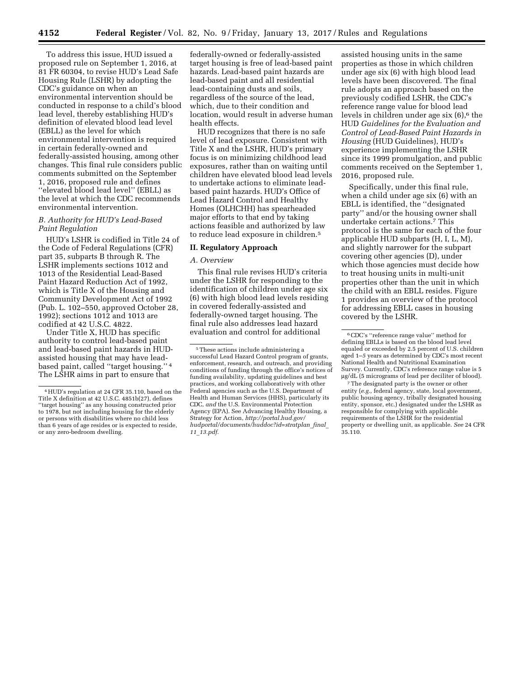To address this issue, HUD issued a proposed rule on September 1, 2016, at 81 FR 60304, to revise HUD's Lead Safe Housing Rule (LSHR) by adopting the CDC's guidance on when an environmental intervention should be conducted in response to a child's blood lead level, thereby establishing HUD's definition of elevated blood lead level (EBLL) as the level for which environmental intervention is required in certain federally-owned and federally-assisted housing, among other changes. This final rule considers public comments submitted on the September 1, 2016, proposed rule and defines ''elevated blood lead level'' (EBLL) as the level at which the CDC recommends environmental intervention.

## *B. Authority for HUD's Lead-Based Paint Regulation*

HUD's LSHR is codified in Title 24 of the Code of Federal Regulations (CFR) part 35, subparts B through R. The LSHR implements sections 1012 and 1013 of the Residential Lead-Based Paint Hazard Reduction Act of 1992, which is Title X of the Housing and Community Development Act of 1992 (Pub. L. 102–550, approved October 28, 1992); sections 1012 and 1013 are codified at 42 U.S.C. 4822.

Under Title X, HUD has specific authority to control lead-based paint and lead-based paint hazards in HUDassisted housing that may have leadbased paint, called ''target housing.'' 4 The LSHR aims in part to ensure that

federally-owned or federally-assisted target housing is free of lead-based paint hazards. Lead-based paint hazards are lead-based paint and all residential lead-containing dusts and soils, regardless of the source of the lead, which, due to their condition and location, would result in adverse human health effects.

HUD recognizes that there is no safe level of lead exposure. Consistent with Title X and the LSHR, HUD's primary focus is on minimizing childhood lead exposures, rather than on waiting until children have elevated blood lead levels to undertake actions to eliminate leadbased paint hazards. HUD's Office of Lead Hazard Control and Healthy Homes (OLHCHH) has spearheaded major efforts to that end by taking actions feasible and authorized by law to reduce lead exposure in children.5

#### **II. Regulatory Approach**

### *A. Overview*

This final rule revises HUD's criteria under the LSHR for responding to the identification of children under age six (6) with high blood lead levels residing in covered federally-assisted and federally-owned target housing. The final rule also addresses lead hazard evaluation and control for additional

assisted housing units in the same properties as those in which children under age six (6) with high blood lead levels have been discovered. The final rule adopts an approach based on the previously codified LSHR, the CDC's reference range value for blood lead levels in children under age six  $(6)$ ,<sup>6</sup> the HUD *Guidelines for the Evaluation and Control of Lead-Based Paint Hazards in Housing* (HUD Guidelines), HUD's experience implementing the LSHR since its 1999 promulgation, and public comments received on the September 1, 2016, proposed rule.

Specifically, under this final rule, when a child under age six (6) with an EBLL is identified, the ''designated party'' and/or the housing owner shall undertake certain actions.7 This protocol is the same for each of the four applicable HUD subparts (H, I, L, M), and slightly narrower for the subpart covering other agencies (D), under which those agencies must decide how to treat housing units in multi-unit properties other than the unit in which the child with an EBLL resides. Figure 1 provides an overview of the protocol for addressing EBLL cases in housing covered by the LSHR.

<sup>4</sup>HUD's regulation at 24 CFR 35.110, based on the Title X definition at 42 U.S.C. 4851b(27), defines ''target housing'' as any housing constructed prior to 1978, but not including housing for the elderly or persons with disabilities where no child less than 6 years of age resides or is expected to reside, or any zero-bedroom dwelling.

<sup>5</sup>These actions include administering a successful Lead Hazard Control program of grants, enforcement, research, and outreach, and providing conditions of funding through the office's notices of funding availability, updating guidelines and best practices, and working collaboratively with other Federal agencies such as the U.S. Department of Health and Human Services (HHS), particularly its CDC, *and* the U.S. Environmental Protection Agency (EPA). See Advancing Healthy Housing, a Strategy for Action, *[http://portal.hud.gov/](http://portal.hud.gov/hudportal/documents/huddoc?id=stratplan_final_11_13.pdf)  [hudportal/documents/huddoc?id=stratplan](http://portal.hud.gov/hudportal/documents/huddoc?id=stratplan_final_11_13.pdf)*\_*final*\_ *11*\_*[13.pdf.](http://portal.hud.gov/hudportal/documents/huddoc?id=stratplan_final_11_13.pdf)* 

<sup>6</sup>CDC's ''reference range value'' method for defining EBLLs is based on the blood lead level equaled or exceeded by 2.5 percent of U.S. children aged 1–*5* years as determined by CDC's most recent National Health and Nutritional Examination Survey. Currently, CDC's reference range value is 5 mg/dL (5 micrograms of lead per deciliter of blood).

<sup>7</sup>The designated party is the owner or other entity (*e.g.,* federal agency, state, local government, public housing agency, tribally designated housing entity, sponsor, etc.) designated under the LSHR as responsible for complying with applicable requirements of the LSHR for the residential property or dwelling unit, as applicable. *See* 24 CFR 35.110.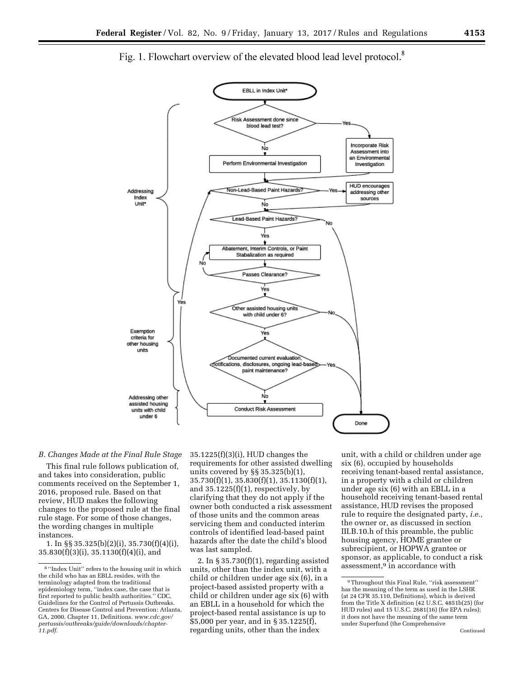

# Fig. 1. Flowchart overview of the elevated blood lead level protocol.<sup>8</sup>

## *B. Changes Made at the Final Rule Stage*

This final rule follows publication of, and takes into consideration, public comments received on the September 1, 2016, proposed rule. Based on that review, HUD makes the following changes to the proposed rule at the final rule stage. For some of those changes, the wording changes in multiple instances.

1. In §§ 35.325(b)(2)(i), 35.730(f)(4)(i), 35.830(f)(3)(i), 35.1130(f)(4)(i), and

35.1225(f)(3)(i), HUD changes the requirements for other assisted dwelling units covered by §§ 35.325(b)(1), 35.730(f)(1), 35.830(f)(1), 35.1130(f)(1), and 35.1225(f)(1), respectively, by clarifying that they do not apply if the owner both conducted a risk assessment of those units and the common areas servicing them and conducted interim controls of identified lead-based paint hazards after the date the child's blood was last sampled.

2. In § 35.730(f)(1), regarding assisted units, other than the index unit, with a child or children under age six (6), in a project-based assisted property with a child or children under age six (6) with an EBLL in a household for which the project-based rental assistance is up to \$5,000 per year, and in § 35.1225(f), regarding units, other than the index

unit, with a child or children under age six (6), occupied by households receiving tenant-based rental assistance, in a property with a child or children under age six (6) with an EBLL in a household receiving tenant-based rental assistance, HUD revises the proposed rule to require the designated party, *i.e.,*  the owner or, as discussed in section III.B.10.h of this preamble, the public housing agency, HOME grantee or subrecipient, or HOPWA grantee or sponsor, as applicable, to conduct a risk assessment,<sup>9</sup> in accordance with

<sup>8</sup> ''Index Unit'' refers to the housing unit in which the child who has an EBLL resides, with the terminology adapted from the traditional epidemiology term, ''index case, the case that is first reported to public health authorities.'' CDC, Guidelines for the Control of Pertussis Outbreaks. Centers for Disease Control and Prevention: Atlanta, GA, 2000. Chapter 11, Definitions. *[www.cdc.gov/](http://www.cdc.gov/pertussis/outbreaks/guide/downloads/chapter-11.pdf) [pertussis/outbreaks/guide/downloads/chapter-](http://www.cdc.gov/pertussis/outbreaks/guide/downloads/chapter-11.pdf)[11.pdf.](http://www.cdc.gov/pertussis/outbreaks/guide/downloads/chapter-11.pdf)* 

<sup>9</sup>Throughout this Final Rule, ''risk assessment'' has the meaning of the term as used in the LSHR (at 24 CFR 35.110, Definitions), which is derived from the Title X definition (42 U.S.C. 4851b(25) (for HUD rules) and 15 U.S.C. 2681(16) (for EPA rules); it does not have the meaning of the same term under Superfund (the Comprehensive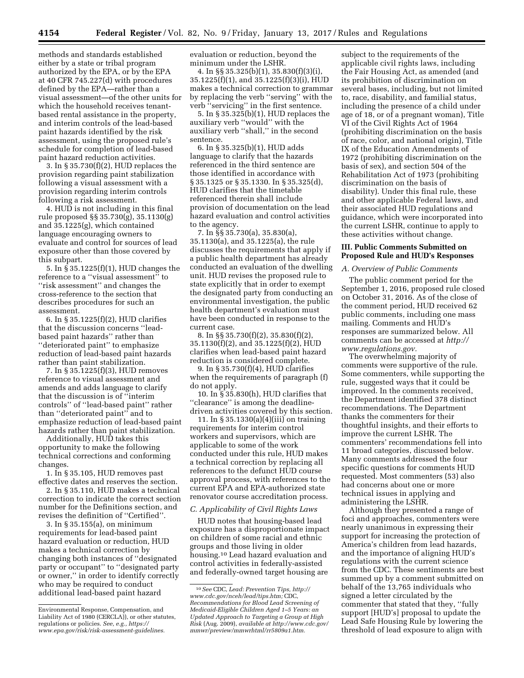methods and standards established either by a state or tribal program authorized by the EPA, or by the EPA at 40 CFR 745.227(d) with procedures defined by the EPA—rather than a visual assessment—of the other units for which the household receives tenantbased rental assistance in the property, and interim controls of the lead-based paint hazards identified by the risk assessment, using the proposed rule's schedule for completion of lead-based paint hazard reduction activities.

3. In § 35.730(f)(2), HUD replaces the provision regarding paint stabilization following a visual assessment with a provision regarding interim controls following a risk assessment.

4. HUD is not including in this final rule proposed §§ 35.730(g), 35.1130(g) and 35.1225(g), which contained language encouraging owners to evaluate and control for sources of lead exposure other than those covered by this subpart.

5. In § 35.1225(f)(1), HUD changes the reference to a ''visual assessment'' to ''risk assessment'' and changes the cross-reference to the section that describes procedures for such an assessment.

6. In § 35.1225(f)(2), HUD clarifies that the discussion concerns ''leadbased paint hazards'' rather than ''deteriorated paint'' to emphasize reduction of lead-based paint hazards rather than paint stabilization.

7. In § 35.1225(f)(3), HUD removes reference to visual assessment and amends and adds language to clarify that the discussion is of ''interim controls'' of ''lead-based paint'' rather than ''deteriorated paint'' and to emphasize reduction of lead-based paint hazards rather than paint stabilization.

Additionally, HUD takes this opportunity to make the following technical corrections and conforming changes.

1. In § 35.105, HUD removes past effective dates and reserves the section.

2. In § 35.110, HUD makes a technical correction to indicate the correct section number for the Definitions section, and revises the definition of ''Certified''.

3. In § 35.155(a), on minimum requirements for lead-based paint hazard evaluation or reduction, HUD makes a technical correction by changing both instances of ''designated party or occupant'' to ''designated party or owner,'' in order to identify correctly who may be required to conduct additional lead-based paint hazard

evaluation or reduction, beyond the minimum under the LSHR.

4. In §§ 35.325(b)(1), 35.830(f)(3)(i), 35.1225(f)(1), and 35.1225(f)(3)(i), HUD makes a technical correction to grammar by replacing the verb ''serving'' with the verb ''servicing'' in the first sentence.

5. In § 35.325(b)(1), HUD replaces the auxiliary verb ''would'' with the auxiliary verb ''shall,'' in the second sentence.

6. In § 35.325(b)(1), HUD adds language to clarify that the hazards referenced in the third sentence are those identified in accordance with § 35.1325 or § 35.1330. In § 35.325(d), HUD clarifies that the timetable referenced therein shall include provision of documentation on the lead hazard evaluation and control activities to the agency.

7. In §§ 35.730(a), 35.830(a), 35.1130(a), and 35.1225(a), the rule discusses the requirements that apply if a public health department has already conducted an evaluation of the dwelling unit. HUD revises the proposed rule to state explicitly that in order to exempt the designated party from conducting an environmental investigation, the public health department's evaluation must have been conducted in response to the current case.

8. In §§ 35.730(f)(2), 35.830(f)(2), 35.1130(f)(2), and 35.1225(f)(2), HUD clarifies when lead-based paint hazard reduction is considered complete.

9. In § 35.730(f)(4), HUD clarifies when the requirements of paragraph (f) do not apply.

10. In § 35.830(h), HUD clarifies that ''clearance'' is among the deadlinedriven activities covered by this section.

11. In § 35.1330(a)(4)(iii) on training requirements for interim control workers and supervisors, which are applicable to some of the work conducted under this rule, HUD makes a technical correction by replacing all references to the defunct HUD course approval process, with references to the current EPA and EPA-authorized state renovator course accreditation process.

## *C. Applicability of Civil Rights Laws*

HUD notes that housing-based lead exposure has a disproportionate impact on children of some racial and ethnic groups and those living in older housing.10 Lead hazard evaluation and control activities in federally-assisted and federally-owned target housing are

subject to the requirements of the applicable civil rights laws, including the Fair Housing Act, as amended (and its prohibition of discrimination on several bases, including, but not limited to, race, disability, and familial status, including the presence of a child under age of 18, or of a pregnant woman), Title VI of the Civil Rights Act of 1964 (prohibiting discrimination on the basis of race, color, and national origin), Title IX of the Education Amendments of 1972 (prohibiting discrimination on the basis of sex), and section 504 of the Rehabilitation Act of 1973 (prohibiting discrimination on the basis of disability). Under this final rule, these and other applicable Federal laws, and their associated HUD regulations and guidance, which were incorporated into the current LSHR, continue to apply to these activities without change.

## **III. Public Comments Submitted on Proposed Rule and HUD's Responses**

### *A. Overview of Public Comments*

The public comment period for the September 1, 2016, proposed rule closed on October 31, 2016. As of the close of the comment period, HUD received 62 public comments, including one mass mailing. Comments and HUD's responses are summarized below. All comments can be accessed at *[http://](http://www.regulations.gov) [www.regulations.gov.](http://www.regulations.gov)* 

The overwhelming majority of comments were supportive of the rule. Some commenters, while supporting the rule, suggested ways that it could be improved. In the comments received, the Department identified 378 distinct recommendations. The Department thanks the commenters for their thoughtful insights, and their efforts to improve the current LSHR. The commenters' recommendations fell into 11 broad categories, discussed below. Many comments addressed the four specific questions for comments HUD requested. Most commenters (53) also had concerns about one or more technical issues in applying and administering the LSHR.

Although they presented a range of foci and approaches, commenters were nearly unanimous in expressing their support for increasing the protection of America's children from lead hazards, and the importance of aligning HUD's regulations with the current science from the CDC. These sentiments are best summed up by a comment submitted on behalf of the 13,765 individuals who signed a letter circulated by the commenter that stated that they, ''fully support [HUD's] proposal to update the Lead Safe Housing Rule by lowering the threshold of lead exposure to align with

Environmental Response, Compensation, and Liability Act of 1980 (CERCLA)), or other statutes, regulations or policies. *See, e.g., [https://](https://www.epa.gov/risk/risk-assessment-guidelines) [www.epa.gov/risk/risk-assessment-guidelines.](https://www.epa.gov/risk/risk-assessment-guidelines)* 

<sup>10</sup>*See* CDC, *Lead: Prevention Tips, [http://](http://www.cdc.gov/nceh/lead/tips.htm) [www.cdc.gov/nceh/lead/tips.htm;](http://www.cdc.gov/nceh/lead/tips.htm)* CDC, *Recommendations for Blood Lead Screening of Medicaid-Eligible Children Aged 1–5 Years: an Updated Approach to Targeting a Group at High Risk* (Aug. 2009), *available at [http://www.cdc.gov/](http://www.cdc.gov/mmwr/preview/mmwrhtml/rr5809a1.htm)  [mmwr/preview/mmwrhtml/rr5809a1.htm.](http://www.cdc.gov/mmwr/preview/mmwrhtml/rr5809a1.htm)*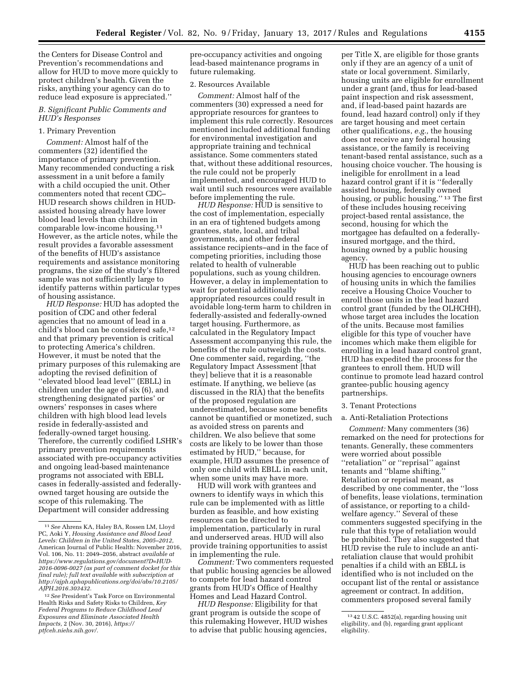the Centers for Disease Control and Prevention's recommendations and allow for HUD to move more quickly to protect children's health. Given the risks, anything your agency can do to reduce lead exposure is appreciated.''

## *B. Significant Public Comments and HUD's Responses*

#### 1. Primary Prevention

*Comment:* Almost half of the commenters (32) identified the importance of primary prevention. Many recommended conducting a risk assessment in a unit before a family with a child occupied the unit. Other commenters noted that recent CDC– HUD research shows children in HUDassisted housing already have lower blood lead levels than children in comparable low-income housing.11 However, as the article notes, while the result provides a favorable assessment of the benefits of HUD's assistance requirements and assistance monitoring programs, the size of the study's filtered sample was not sufficiently large to identify patterns within particular types of housing assistance.

*HUD Response:* HUD has adopted the position of CDC and other federal agencies that no amount of lead in a child's blood can be considered safe,12 and that primary prevention is critical to protecting America's children. However, it must be noted that the primary purposes of this rulemaking are adopting the revised definition of ''elevated blood lead level'' (EBLL) in children under the age of six (6), and strengthening designated parties' or owners' responses in cases where children with high blood lead levels reside in federally-assisted and federally-owned target housing. Therefore, the currently codified LSHR's primary prevention requirements associated with pre-occupancy activities and ongoing lead-based maintenance programs not associated with EBLL cases in federally-assisted and federallyowned target housing are outside the scope of this rulemaking. The Department will consider addressing

pre-occupancy activities and ongoing lead-based maintenance programs in future rulemaking.

## 2. Resources Available

*Comment:* Almost half of the commenters (30) expressed a need for appropriate resources for grantees to implement this rule correctly. Resources mentioned included additional funding for environmental investigation and appropriate training and technical assistance. Some commenters stated that, without these additional resources, the rule could not be properly implemented, and encouraged HUD to wait until such resources were available before implementing the rule.

*HUD Response:* HUD is sensitive to the cost of implementation, especially in an era of tightened budgets among grantees, state, local, and tribal governments, and other federal assistance recipients–and in the face of competing priorities, including those related to health of vulnerable populations, such as young children. However, a delay in implementation to wait for potential additionally appropriated resources could result in avoidable long-term harm to children in federally-assisted and federally-owned target housing. Furthermore, as calculated in the Regulatory Impact Assessment accompanying this rule, the benefits of the rule outweigh the costs. One commenter said, regarding, ''the Regulatory Impact Assessment [that they] believe that it is a reasonable estimate. If anything, we believe (as discussed in the RIA) that the benefits of the proposed regulation are underestimated, because some benefits cannot be quantified or monetized, such as avoided stress on parents and children. We also believe that some costs are likely to be lower than those estimated by HUD,'' because, for example, HUD assumes the presence of only one child with EBLL in each unit, when some units may have more.

HUD will work with grantees and owners to identify ways in which this rule can be implemented with as little burden as feasible, and how existing resources can be directed to implementation, particularly in rural and underserved areas. HUD will also provide training opportunities to assist in implementing the rule.

*Comment:* Two commenters requested that public housing agencies be allowed to compete for lead hazard control grants from HUD's Office of Healthy Homes and Lead Hazard Control.

*HUD Response:* Eligibility for that grant program is outside the scope of this rulemaking However, HUD wishes to advise that public housing agencies,

per Title X, are eligible for those grants only if they are an agency of a unit of state or local government. Similarly, housing units are eligible for enrollment under a grant (and, thus for lead-based paint inspection and risk assessment, and, if lead-based paint hazards are found, lead hazard control) only if they are target housing and meet certain other qualifications, *e.g.,* the housing does not receive any federal housing assistance, or the family is receiving tenant-based rental assistance, such as a housing choice voucher. The housing is ineligible for enrollment in a lead hazard control grant if it is ''federally assisted housing, federally owned housing, or public housing.'' 13 The first of these includes housing receiving project-based rental assistance, the second, housing for which the mortgagee has defaulted on a federallyinsured mortgage, and the third, housing owned by a public housing agency.

HUD has been reaching out to public housing agencies to encourage owners of housing units in which the families receive a Housing Choice Voucher to enroll those units in the lead hazard control grant (funded by the OLHCHH), whose target area includes the location of the units. Because most families eligible for this type of voucher have incomes which make them eligible for enrolling in a lead hazard control grant, HUD has expedited the process for the grantees to enroll them. HUD will continue to promote lead hazard control grantee-public housing agency partnerships.

### 3. Tenant Protections

#### a. Anti-Retaliation Protections

*Comment:* Many commenters (36) remarked on the need for protections for tenants. Generally, these commenters were worried about possible ''retaliation'' or ''reprisal'' against tenants and ''blame shifting.'' Retaliation or reprisal meant, as described by one commenter, the ''loss of benefits, lease violations, termination of assistance, or reporting to a childwelfare agency.'' Several of these commenters suggested specifying in the rule that this type of retaliation would be prohibited. They also suggested that HUD revise the rule to include an antiretaliation clause that would prohibit penalties if a child with an EBLL is identified who is not included on the occupant list of the rental or assistance agreement or contract. In addition, commenters proposed several family

<sup>11</sup>*See* Ahrens KA, Haley BA, Rossen LM, Lloyd PC, Aoki Y, *Housing Assistance and Blood Lead Levels: Children in the United States, 2005–2012,*  American Journal of Public Health: November 2016, Vol. 106, No. 11: 2049–2056, abstract *available at [https://www.regulations.gov/document?D=HUD-](https://www.regulations.gov/document?D=HUD-2016-0096-0027)[2016-0096-0027](https://www.regulations.gov/document?D=HUD-2016-0096-0027) (as part of comment docket for this final rule); full text available with subscription at [http://ajph.aphapublications.org/doi/abs/10.2105/](http://ajph.aphapublications.org/doi/abs/10.2105/AJPH.2016.303432)  [AJPH.2016.303432](http://ajph.aphapublications.org/doi/abs/10.2105/AJPH.2016.303432).* 

<sup>12</sup>*See* President's Task Force on Environmental Health Risks and Safety Risks to Children, *Key Federal Programs to Reduce Childhood Lead Exposures and Eliminate Associated Health Impacts,* 2 (Nov. 30, 2016), *[https://](https://ptfceh.niehs.nih.gov/) [ptfceh.niehs.nih.gov/.](https://ptfceh.niehs.nih.gov/)* 

<sup>13</sup> 42 U.S.C. 4852(a), regarding housing unit eligibility, and (b), regarding grant applicant eligibility.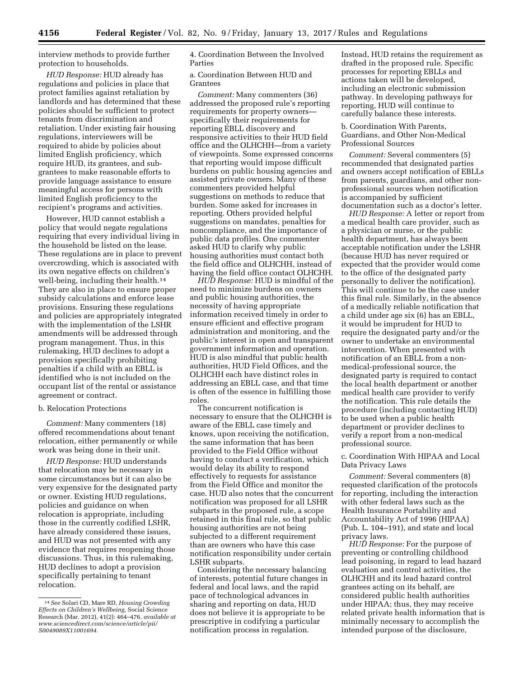interview methods to provide further protection to households.

*HUD Response:* HUD already has regulations and policies in place that protect families against retaliation by landlords and has determined that these policies should be sufficient to protect tenants from discrimination and retaliation. Under existing fair housing regulations, interviewers will be required to abide by policies about limited English proficiency, which require HUD, its grantees, and subgrantees to make reasonable efforts to provide language assistance to ensure meaningful access for persons with limited English proficiency to the recipient's programs and activities.

However, HUD cannot establish a policy that would negate regulations requiring that every individual living in the household be listed on the lease. These regulations are in place to prevent overcrowding, which is associated with its own negative effects on children's well-being, including their health.14 They are also in place to ensure proper subsidy calculations and enforce lease provisions. Ensuring these regulations and policies are appropriately integrated with the implementation of the LSHR amendments will be addressed through program management. Thus, in this rulemaking, HUD declines to adopt a provision specifically prohibiting penalties if a child with an EBLL is identified who is not included on the occupant list of the rental or assistance agreement or contract.

### b. Relocation Protections

*Comment:* Many commenters (18) offered recommendations about tenant relocation, either permanently or while work was being done in their unit.

*HUD Response:* HUD understands that relocation may be necessary in some circumstances but it can also be very expensive for the designated party or owner. Existing HUD regulations, policies and guidance on when relocation is appropriate, including those in the currently codified LSHR, have already considered these issues, and HUD was not presented with any evidence that requires reopening those discussions. Thus, in this rulemaking, HUD declines to adopt a provision specifically pertaining to tenant relocation.

4. Coordination Between the Involved Parties

a. Coordination Between HUD and Grantees

*Comment:* Many commenters (36) addressed the proposed rule's reporting requirements for property owners specifically their requirements for reporting EBLL discovery and responsive activities to their HUD field office and the OLHCHH—from a variety of viewpoints. Some expressed concerns that reporting would impose difficult burdens on public housing agencies and assisted private owners. Many of these commenters provided helpful suggestions on methods to reduce that burden. Some asked for increases in reporting. Others provided helpful suggestions on mandates, penalties for noncompliance, and the importance of public data profiles. One commenter asked HUD to clarify why public housing authorities must contact both the field office and OLHCHH, instead of having the field office contact OLHCHH.

*HUD Response:* HUD is mindful of the need to minimize burdens on owners and public housing authorities, the necessity of having appropriate information received timely in order to ensure efficient and effective program administration and monitoring, and the public's interest in open and transparent government information and operation. HUD is also mindful that public health authorities, HUD Field Offices, and the OLHCHH each have distinct roles in addressing an EBLL case, and that time is often of the essence in fulfilling those roles.

The concurrent notification is necessary to ensure that the OLHCHH is aware of the EBLL case timely and knows, upon receiving the notification, the same information that has been provided to the Field Office without having to conduct a verification, which would delay its ability to respond effectively to requests for assistance from the Field Office and monitor the case. HUD also notes that the concurrent notification was proposed for all LSHR subparts in the proposed rule, a scope retained in this final rule, so that public housing authorities are not being subjected to a different requirement than are owners who have this case notification responsibility under certain LSHR subparts.

Considering the necessary balancing of interests, potential future changes in federal and local laws, and the rapid pace of technological advances in sharing and reporting on data, HUD does not believe it is appropriate to be prescriptive in codifying a particular notification process in regulation.

Instead, HUD retains the requirement as drafted in the proposed rule. Specific processes for reporting EBLLs and actions taken will be developed, including an electronic submission pathway. In developing pathways for reporting, HUD will continue to carefully balance these interests.

b. Coordination With Parents, Guardians, and Other Non-Medical Professional Sources

*Comment:* Several commenters (5) recommended that designated parties and owners accept notification of EBLLs from parents, guardians, and other nonprofessional sources when notification is accompanied by sufficient documentation such as a doctor's letter.

*HUD Response:* A letter or report from a medical health care provider, such as a physician or nurse, or the public health department, has always been acceptable notification under the LSHR (because HUD has never required or expected that the provider would come to the office of the designated party personally to deliver the notification). This will continue to be the case under this final rule. Similarly, in the absence of a medically reliable notification that a child under age six (6) has an EBLL, it would be imprudent for HUD to require the designated party and/or the owner to undertake an environmental intervention. When presented with notification of an EBLL from a nonmedical-professional source, the designated party is required to contact the local health department or another medical health care provider to verify the notification. This rule details the procedure (including contacting HUD) to be used when a public health department or provider declines to verify a report from a non-medical professional source.

## c. Coordination With HIPAA and Local Data Privacy Laws

*Comment:* Several commenters (8) requested clarification of the protocols for reporting, including the interaction with other federal laws such as the Health Insurance Portability and Accountability Act of 1996 (HIPAA) (Pub. L. 104–191), and state and local privacy laws.

*HUD Response:* For the purpose of preventing or controlling childhood lead poisoning, in regard to lead hazard evaluation and control activities, the OLHCHH and its lead hazard control grantees acting on its behalf, are considered public health authorities under HIPAA; thus, they may receive related private health information that is minimally necessary to accomplish the intended purpose of the disclosure,

<sup>14</sup>*See* Solari CD, Mare RD, *Housing Crowding Effects on Children's Wellbeing,* Social Science Research (Mar. 2012), 41(2): 464–476, *available at [www.sciencedirect.com/science/article/pii/](http://www.sciencedirect.com/science/article/pii/S0049089X11001694) [S0049089X11001694.](http://www.sciencedirect.com/science/article/pii/S0049089X11001694)*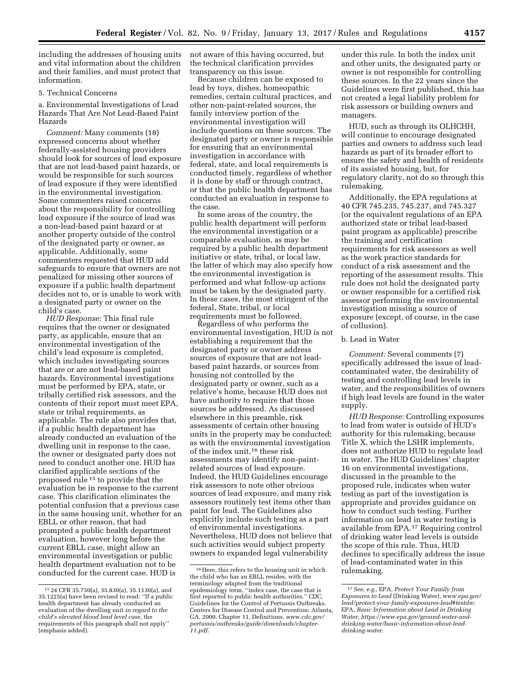including the addresses of housing units and vital information about the children and their families, and must protect that information.

## 5. Technical Concerns

a. Environmental Investigations of Lead Hazards That Are Not Lead-Based Paint Hazards

*Comment:* Many comments (18) expressed concerns about whether federally-assisted housing providers should look for sources of lead exposure that are not lead-based paint hazards, or would be responsible for such sources of lead exposure if they were identified in the environmental investigation. Some commenters raised concerns about the responsibility for controlling lead exposure if the source of lead was a non-lead-based paint hazard or at another property outside of the control of the designated party or owner, as applicable. Additionally, some commenters requested that HUD add safeguards to ensure that owners are not penalized for missing other sources of exposure if a public health department decides not to, or is unable to work with a designated party or owner on the child's case.

*HUD Response:* This final rule requires that the owner or designated party, as applicable, ensure that an environmental investigation of the child's lead exposure is completed, which includes investigating sources that are or are not lead-based paint hazards. Environmental investigations must be performed by EPA, state, or tribally certified risk assessors, and the contents of their report must meet EPA, state or tribal requirements, as applicable. The rule also provides that, if a public health department has already conducted an evaluation of the dwelling unit in response to the case, the owner or designated party does not need to conduct another one. HUD has clarified applicable sections of the proposed rule 15 to provide that the evaluation be in response to the current case. This clarification eliminates the potential confusion that a previous case in the same housing unit, whether for an EBLL or other reason, that had prompted a public health department evaluation, however long before the current EBLL case, might allow an environmental investigation or public health department evaluation not to be conducted for the current case. HUD is

not aware of this having occurred, but the technical clarification provides transparency on this issue.

Because children can be exposed to lead by toys, dishes, homeopathic remedies, certain cultural practices, and other non-paint-related sources, the family interview portion of the environmental investigation will include questions on these sources. The designated party or owner is responsible for ensuring that an environmental investigation in accordance with federal, state, and local requirements is conducted timely, regardless of whether it is done by staff or through contract, or that the public health department has conducted an evaluation in response to the case.

In some areas of the country, the public health department will perform the environmental investigation or a comparable evaluation, as may be required by a public health department initiative or state, tribal, or local law, the latter of which may also specify how the environmental investigation is performed and what follow-up actions must be taken by the designated party. In these cases, the most stringent of the federal, State, tribal, or local requirements must be followed.

Regardless of who performs the environmental investigation, HUD is not establishing a requirement that the designated party or owner address sources of exposure that are not leadbased paint hazards, or sources from housing not controlled by the designated party or owner, such as a relative's home, because HUD does not have authority to require that those sources be addressed. As discussed elsewhere in this preamble, risk assessments of certain other housing units in the property may be conducted; as with the environmental investigation of the index unit,16 these risk assessments may identify non-paintrelated sources of lead exposure. Indeed, the HUD Guidelines encourage risk assessors to note other obvious sources of lead exposure, and many risk assessors routinely test items other than paint for lead. The Guidelines also explicitly include such testing as a part of environmental investigations. Nevertheless, HUD does not believe that such activities would subject property owners to expanded legal vulnerability

under this rule. In both the index unit and other units, the designated party or owner is not responsible for controlling these sources. In the 22 years since the Guidelines were first published, this has not created a legal liability problem for risk assessors or building owners and managers.

HUD, such as through its OLHCHH, will continue to encourage designated parties and owners to address such lead hazards as part of its broader effort to ensure the safety and health of residents of its assisted housing, but, for regulatory clarity, not do so through this rulemaking.

Additionally, the EPA regulations at 40 CFR 745.235, 745.237, and 745.327 (or the equivalent regulations of an EPA authorized state or tribal lead-based paint program as applicable) prescribe the training and certification requirements for risk assessors as well as the work practice standards for conduct of a risk assessment and the reporting of the assessment results. This rule does not hold the designated party or owner responsible for a certified risk assessor performing the environmental investigation missing a source of exposure (except, of course, in the case of collusion).

## b. Lead in Water

*Comment:* Several comments (7) specifically addressed the issue of leadcontaminated water, the desirability of testing and controlling lead levels in water, and the responsibilities of owners if high lead levels are found in the water supply.

*HUD Response:* Controlling exposures to lead from water is outside of HUD's authority for this rulemaking, because Title X, which the LSHR implements, does not authorize HUD to regulate lead in water. The HUD Guidelines' chapter 16 on environmental investigations, discussed in the preamble to the proposed rule, indicates when water testing as part of the investigation is appropriate and provides guidance on how to conduct such testing. Further information on lead in water testing is available from EPA.17 Requiring control of drinking water lead levels is outside the scope of this rule. Thus, HUD declines to specifically address the issue of lead-contaminated water in this rulemaking.

<sup>15</sup> 24 CFR 35.730(a), 35.830(a), 35.1130(a), and 35.1225(a) have been revised to read: ''If a public health department has already conducted an evaluation of the dwelling unit *in regard to the child's elevated blood lead level case,* the requirements of this paragraph shall not apply'' (emphasis added).

<sup>16</sup>Here, this refers to the housing unit in which the child who has an EBLL resides, with the terminology adapted from the traditional epidemiology term, ''index case, the case that is first reported to public health authorities.'' CDC, Guidelines for the Control of Pertussis Outbreaks. Centers for Disease Control and Prevention: Atlanta, GA, 2000. Chapter 11, Definitions. *[www.cdc.gov/](http://www.cdc.gov/pertussis/outbreaks/guide/downloads/chapter-11.pdf) [pertussis/outbreaks/guide/downloads/chapter-](http://www.cdc.gov/pertussis/outbreaks/guide/downloads/chapter-11.pdf)[11.pdf.](http://www.cdc.gov/pertussis/outbreaks/guide/downloads/chapter-11.pdf)* 

<sup>17</sup>*See, e.g.,* EPA, *Protect Your Family from Exposures to Lead* (Drinking Water), *[www.epa.gov/](http://www.epa.gov/lead/protect-your-family-exposures-lead#testdw)  [lead/protect-your-family-exposures-lead#testdw;](http://www.epa.gov/lead/protect-your-family-exposures-lead#testdw)*  EPA, *Basic Information about Lead in Drinking Water[, https://www.epa.gov/ground-water-and](https://www.epa.gov/ground-water-and-drinking-water/basic-information-about-lead-drinking-water)[drinking-water/basic-information-about-lead](https://www.epa.gov/ground-water-and-drinking-water/basic-information-about-lead-drinking-water)[drinking-water](https://www.epa.gov/ground-water-and-drinking-water/basic-information-about-lead-drinking-water)*.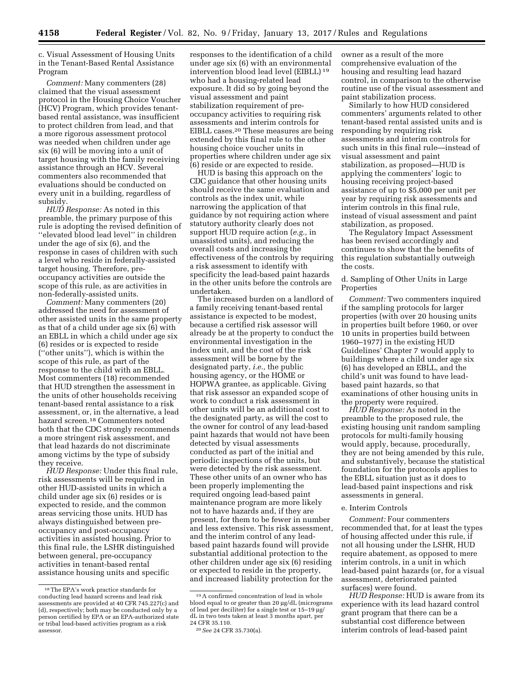c. Visual Assessment of Housing Units in the Tenant-Based Rental Assistance Program

*Comment:* Many commenters (28) claimed that the visual assessment protocol in the Housing Choice Voucher (HCV) Program, which provides tenantbased rental assistance, was insufficient to protect children from lead, and that a more rigorous assessment protocol was needed when children under age six (6) will be moving into a unit of target housing with the family receiving assistance through an HCV. Several commenters also recommended that evaluations should be conducted on every unit in a building, regardless of subsidy.

*HUD Response:* As noted in this preamble, the primary purpose of this rule is adopting the revised definition of ''elevated blood lead level'' in children under the age of six (6), and the response in cases of children with such a level who reside in federally-assisted target housing. Therefore, preoccupancy activities are outside the scope of this rule, as are activities in non-federally-assisted units.

*Comment:* Many commenters (20) addressed the need for assessment of other assisted units in the same property as that of a child under age six (6) with an EBLL in which a child under age six (6) resides or is expected to reside (''other units''), which is within the scope of this rule, as part of the response to the child with an EBLL. Most commenters (18) recommended that HUD strengthen the assessment in the units of other households receiving tenant-based rental assistance to a risk assessment, or, in the alternative, a lead hazard screen.18 Commenters noted both that the CDC strongly recommends a more stringent risk assessment, and that lead hazards do not discriminate among victims by the type of subsidy they receive.

*HUD Response:* Under this final rule, risk assessments will be required in other HUD-assisted units in which a child under age six (6) resides or is expected to reside, and the common areas servicing those units. HUD has always distinguished between preoccupancy and post-occupancy activities in assisted housing. Prior to this final rule, the LSHR distinguished between general, pre-occupancy activities in tenant-based rental assistance housing units and specific

responses to the identification of a child under age six (6) with an environmental intervention blood lead level (EIBLL) 19 who had a housing-related lead exposure. It did so by going beyond the visual assessment and paint stabilization requirement of preoccupancy activities to requiring risk assessments and interim controls for EIBLL cases.20 These measures are being extended by this final rule to the other housing choice voucher units in properties where children under age six (6) reside or are expected to reside.

HUD is basing this approach on the CDC guidance that other housing units should receive the same evaluation and controls as the index unit, while narrowing the application of that guidance by not requiring action where statutory authority clearly does not support HUD require action (*e.g.,* in unassisted units), and reducing the overall costs and increasing the effectiveness of the controls by requiring a risk assessment to identify with specificity the lead-based paint hazards in the other units before the controls are undertaken.

The increased burden on a landlord of a family receiving tenant-based rental assistance is expected to be modest, because a certified risk assessor will already be at the property to conduct the environmental investigation in the index unit, and the cost of the risk assessment will be borne by the designated party, *i.e.,* the public housing agency, or the HOME or HOPWA grantee, as applicable. Giving that risk assessor an expanded scope of work to conduct a risk assessment in other units will be an additional cost to the designated party, as will the cost to the owner for control of any lead-based paint hazards that would not have been detected by visual assessments conducted as part of the initial and periodic inspections of the units, but were detected by the risk assessment. These other units of an owner who has been properly implementing the required ongoing lead-based paint maintenance program are more likely not to have hazards and, if they are present, for them to be fewer in number and less extensive. This risk assessment, and the interim control of any leadbased paint hazards found will provide substantial additional protection to the other children under age six (6) residing or expected to reside in the property, and increased liability protection for the

owner as a result of the more comprehensive evaluation of the housing and resulting lead hazard control, in comparison to the otherwise routine use of the visual assessment and paint stabilization process.

Similarly to how HUD considered commenters' arguments related to other tenant-based rental assisted units and is responding by requiring risk assessments and interim controls for such units in this final rule—instead of visual assessment and paint stabilization, as proposed—HUD is applying the commenters' logic to housing receiving project-based assistance of up to \$5,000 per unit per year by requiring risk assessments and interim controls in this final rule, instead of visual assessment and paint stabilization, as proposed.

The Regulatory Impact Assessment has been revised accordingly and continues to show that the benefits of this regulation substantially outweigh the costs.

d. Sampling of Other Units in Large Properties

*Comment:* Two commenters inquired if the sampling protocols for larger properties (with over 20 housing units in properties built before 1960, or over 10 units in properties build between 1960–1977) in the existing HUD Guidelines' Chapter 7 would apply to buildings where a child under age six (6) has developed an EBLL, and the child's unit was found to have leadbased paint hazards, so that examinations of other housing units in the property were required.

*HUD Response:* As noted in the preamble to the proposed rule, the existing housing unit random sampling protocols for multi-family housing would apply, because, procedurally, they are not being amended by this rule, and substantively, because the statistical foundation for the protocols applies to the EBLL situation just as it does to lead-based paint inspections and risk assessments in general.

#### e. Interim Controls

*Comment:* Four commenters recommended that, for at least the types of housing affected under this rule, if not all housing under the LSHR, HUD require abatement, as opposed to mere interim controls, in a unit in which lead-based paint hazards (or, for a visual assessment, deteriorated painted surfaces) were found.

*HUD Response:* HUD is aware from its experience with its lead hazard control grant program that there can be a substantial cost difference between interim controls of lead-based paint

<sup>18</sup>The EPA's work practice standards for conducting lead hazard screens and lead risk assessments are provided at 40 CFR 745.227(c) and (d), respectively; both may be conducted only by a person certified by EPA or an EPA-authorized state or tribal lead-based activities program as a risk assessor.

<sup>19</sup>A confirmed concentration of lead in whole blood equal to or greater than 20 µg/dL (micrograms of lead per deciliter) for a single test or  $15-19 \mu g$ / dL in two tests taken at least 3 months apart, per 24 CFR 35.110.

<sup>20</sup>*See* 24 CFR 35.730(a).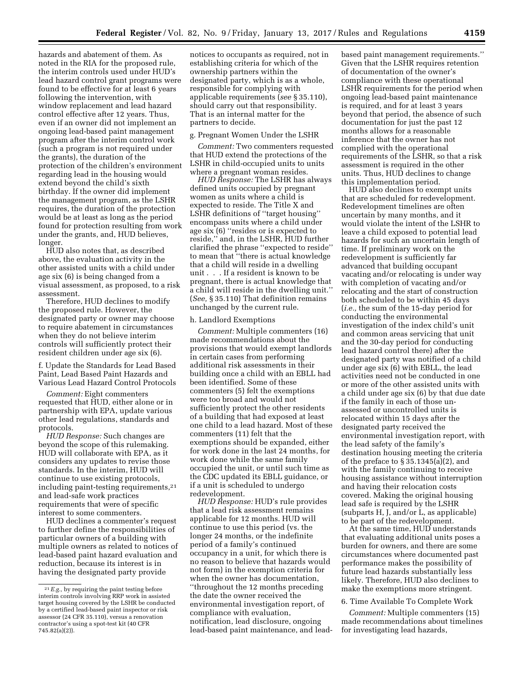hazards and abatement of them. As noted in the RIA for the proposed rule, the interim controls used under HUD's lead hazard control grant programs were found to be effective for at least 6 years following the intervention, with window replacement and lead hazard control effective after 12 years. Thus, even if an owner did not implement an ongoing lead-based paint management program after the interim control work (such a program is not required under the grants), the duration of the protection of the children's environment regarding lead in the housing would extend beyond the child's sixth birthday. If the owner did implement the management program, as the LSHR requires, the duration of the protection would be at least as long as the period found for protection resulting from work under the grants, and, HUD believes, longer.

HUD also notes that, as described above, the evaluation activity in the other assisted units with a child under age six (6) is being changed from a visual assessment, as proposed, to a risk assessment.

Therefore, HUD declines to modify the proposed rule. However, the designated party or owner may choose to require abatement in circumstances when they do not believe interim controls will sufficiently protect their resident children under age six (6).

f. Update the Standards for Lead Based Paint, Lead Based Paint Hazards and Various Lead Hazard Control Protocols

*Comment:* Eight commenters requested that HUD, either alone or in partnership with EPA, update various other lead regulations, standards and protocols.

*HUD Response:* Such changes are beyond the scope of this rulemaking. HUD will collaborate with EPA, as it considers any updates to revise those standards. In the interim, HUD will continue to use existing protocols, including paint-testing requirements,21 and lead-safe work practices requirements that were of specific interest to some commenters.

HUD declines a commenter's request to further define the responsibilities of particular owners of a building with multiple owners as related to notices of lead-based paint hazard evaluation and reduction, because its interest is in having the designated party provide

notices to occupants as required, not in establishing criteria for which of the ownership partners within the designated party, which is as a whole, responsible for complying with applicable requirements (*see* § 35.110), should carry out that responsibility. That is an internal matter for the partners to decide.

#### g. Pregnant Women Under the LSHR

*Comment:* Two commenters requested that HUD extend the protections of the LSHR in child-occupied units to units where a pregnant woman resides.

*HUD Response:* The LSHR has always defined units occupied by pregnant women as units where a child is expected to reside. The Title X and LSHR definitions of ''target housing'' encompass units where a child under age six (6) ''resides or is expected to reside,'' and, in the LSHR, HUD further clarified the phrase ''expected to reside'' to mean that ''there is actual knowledge that a child will reside in a dwelling unit . . . If a resident is known to be pregnant, there is actual knowledge that a child will reside in the dwelling unit.'' (*See,* § 35.110) That definition remains unchanged by the current rule.

#### h. Landlord Exemptions

*Comment:* Multiple commenters (16) made recommendations about the provisions that would exempt landlords in certain cases from performing additional risk assessments in their building once a child with an EBLL had been identified. Some of these commenters (5) felt the exemptions were too broad and would not sufficiently protect the other residents of a building that had exposed at least one child to a lead hazard. Most of these commenters (11) felt that the exemptions should be expanded, either for work done in the last 24 months, for work done while the same family occupied the unit, or until such time as the CDC updated its EBLL guidance, or if a unit is scheduled to undergo redevelopment.

*HUD Response:* HUD's rule provides that a lead risk assessment remains applicable for 12 months. HUD will continue to use this period (vs. the longer 24 months, or the indefinite period of a family's continued occupancy in a unit, for which there is no reason to believe that hazards would not form) in the exemption criteria for when the owner has documentation, ''throughout the 12 months preceding the date the owner received the environmental investigation report, of compliance with evaluation, notification, lead disclosure, ongoing lead-based paint maintenance, and lead-

based paint management requirements.'' Given that the LSHR requires retention of documentation of the owner's compliance with these operational LSHR requirements for the period when ongoing lead-based paint maintenance is required, and for at least 3 years beyond that period, the absence of such documentation for just the past 12 months allows for a reasonable inference that the owner has not complied with the operational requirements of the LSHR, so that a risk assessment is required in the other units. Thus, HUD declines to change this implementation period.

HUD also declines to exempt units that are scheduled for redevelopment. Redevelopment timelines are often uncertain by many months, and it would violate the intent of the LSHR to leave a child exposed to potential lead hazards for such an uncertain length of time. If preliminary work on the redevelopment is sufficiently far advanced that building occupant vacating and/or relocating is under way with completion of vacating and/or relocating and the start of construction both scheduled to be within 45 days (*i.e.,* the sum of the 15-day period for conducting the environmental investigation of the index child's unit and common areas servicing that unit and the 30-day period for conducting lead hazard control there) after the designated party was notified of a child under age six (6) with EBLL, the lead activities need not be conducted in one or more of the other assisted units with a child under age six (6) by that due date if the family in each of those unassessed or uncontrolled units is relocated within 15 days after the designated party received the environmental investigation report, with the lead safety of the family's destination housing meeting the criteria of the preface to § 35.1345(a)(2), and with the family continuing to receive housing assistance without interruption and having their relocation costs covered. Making the original housing lead safe is required by the LSHR (subparts H, J, and/or L, as applicable) to be part of the redevelopment.

At the same time, HUD understands that evaluating additional units poses a burden for owners, and there are some circumstances where documented past performance makes the possibility of future lead hazards substantially less likely. Therefore, HUD also declines to make the exemptions more stringent.

#### 6. Time Available To Complete Work

*Comment:* Multiple commenters (15) made recommendations about timelines for investigating lead hazards,

<sup>21</sup>*E.g.,* by requiring the paint testing before interim controls involving RRP work in assisted target housing covered by the LSHR be conducted by a certified lead-based paint inspector or risk assessor (24 CFR 35.110), versus a renovation contractor's using a spot-test kit (40 CFR 745.82(a)(2)).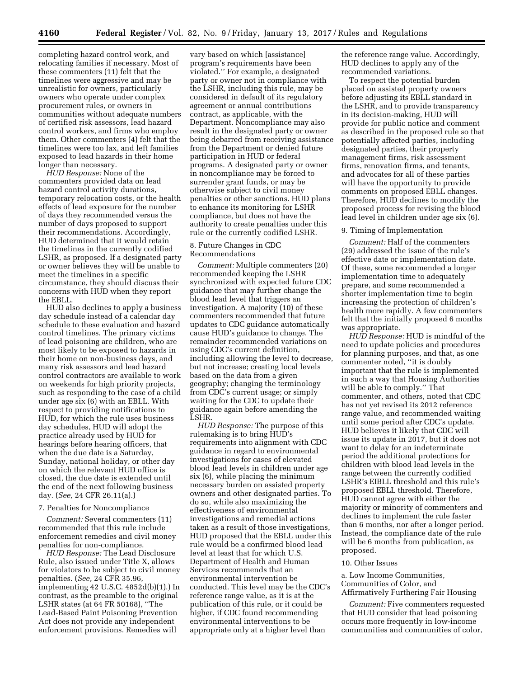completing hazard control work, and relocating families if necessary. Most of these commenters (11) felt that the timelines were aggressive and may be unrealistic for owners, particularly owners who operate under complex procurement rules, or owners in communities without adequate numbers of certified risk assessors, lead hazard control workers, and firms who employ them. Other commenters (4) felt that the timelines were too lax, and left families exposed to lead hazards in their home longer than necessary.

*HUD Response:* None of the commenters provided data on lead hazard control activity durations, temporary relocation costs, or the health effects of lead exposure for the number of days they recommended versus the number of days proposed to support their recommendations. Accordingly, HUD determined that it would retain the timelines in the currently codified LSHR, as proposed. If a designated party or owner believes they will be unable to meet the timelines in a specific circumstance, they should discuss their concerns with HUD when they report the EBLL.

HUD also declines to apply a business day schedule instead of a calendar day schedule to these evaluation and hazard control timelines. The primary victims of lead poisoning are children, who are most likely to be exposed to hazards in their home on non-business days, and many risk assessors and lead hazard control contractors are available to work on weekends for high priority projects, such as responding to the case of a child under age six (6) with an EBLL. With respect to providing notifications to HUD, for which the rule uses business day schedules, HUD will adopt the practice already used by HUD for hearings before hearing officers, that when the due date is a Saturday, Sunday, national holiday, or other day on which the relevant HUD office is closed, the due date is extended until the end of the next following business day. (*See,* 24 CFR 26.11(a).)

#### 7. Penalties for Noncompliance

*Comment:* Several commenters (11) recommended that this rule include enforcement remedies and civil money penalties for non-compliance.

*HUD Response:* The Lead Disclosure Rule, also issued under Title X, allows for violators to be subject to civil money penalties. (*See,* 24 CFR 35.96, implementing 42 U.S.C. 4852d(b)(1).) In contrast, as the preamble to the original LSHR states (at 64 FR 50168), ''The Lead-Based Paint Poisoning Prevention Act does not provide any independent enforcement provisions. Remedies will

vary based on which [assistance] program's requirements have been violated.'' For example, a designated party or owner not in compliance with the LSHR, including this rule, may be considered in default of its regulatory agreement or annual contributions contract, as applicable, with the Department. Noncompliance may also result in the designated party or owner being debarred from receiving assistance from the Department or denied future participation in HUD or federal programs. A designated party or owner in noncompliance may be forced to surrender grant funds, or may be otherwise subject to civil money penalties or other sanctions. HUD plans to enhance its monitoring for LSHR compliance, but does not have the authority to create penalties under this rule or the currently codified LSHR.

#### 8. Future Changes in CDC Recommendations

*Comment:* Multiple commenters (20) recommended keeping the LSHR synchronized with expected future CDC guidance that may further change the blood lead level that triggers an investigation. A majority (10) of these commenters recommended that future updates to CDC guidance automatically cause HUD's guidance to change. The remainder recommended variations on using CDC's current definition, including allowing the level to decrease, but not increase; creating local levels based on the data from a given geography; changing the terminology from CDC's current usage; or simply waiting for the CDC to update their guidance again before amending the LSHR.

*HUD Response:* The purpose of this rulemaking is to bring HUD's requirements into alignment with CDC guidance in regard to environmental investigations for cases of elevated blood lead levels in children under age six (6), while placing the minimum necessary burden on assisted property owners and other designated parties. To do so, while also maximizing the effectiveness of environmental investigations and remedial actions taken as a result of those investigations, HUD proposed that the EBLL under this rule would be a confirmed blood lead level at least that for which U.S. Department of Health and Human Services recommends that an environmental intervention be conducted. This level may be the CDC's reference range value, as it is at the publication of this rule, or it could be higher, if CDC found recommending environmental interventions to be appropriate only at a higher level than

the reference range value. Accordingly, HUD declines to apply any of the recommended variations.

To respect the potential burden placed on assisted property owners before adjusting its EBLL standard in the LSHR, and to provide transparency in its decision-making, HUD will provide for public notice and comment as described in the proposed rule so that potentially affected parties, including designated parties, their property management firms, risk assessment firms, renovation firms, and tenants, and advocates for all of these parties will have the opportunity to provide comments on proposed EBLL changes. Therefore, HUD declines to modify the proposed process for revising the blood lead level in children under age six (6).

## 9. Timing of Implementation

*Comment:* Half of the commenters (29) addressed the issue of the rule's effective date or implementation date. Of these, some recommended a longer implementation time to adequately prepare, and some recommended a shorter implementation time to begin increasing the protection of children's health more rapidly. A few commenters felt that the initially proposed 6 months was appropriate.

*HUD Response:* HUD is mindful of the need to update policies and procedures for planning purposes, and that, as one commenter noted, ''it is doubly important that the rule is implemented in such a way that Housing Authorities will be able to comply.'' That commenter, and others, noted that CDC has not yet revised its 2012 reference range value, and recommended waiting until some period after CDC's update. HUD believes it likely that CDC will issue its update in 2017, but it does not want to delay for an indeterminate period the additional protections for children with blood lead levels in the range between the currently codified LSHR's EIBLL threshold and this rule's proposed EBLL threshold. Therefore, HUD cannot agree with either the majority or minority of commenters and declines to implement the rule faster than 6 months, nor after a longer period. Instead, the compliance date of the rule will be 6 months from publication, as proposed.

#### 10. Other Issues

a. Low Income Communities, Communities of Color, and Affirmatively Furthering Fair Housing

*Comment:* Five commenters requested that HUD consider that lead poisoning occurs more frequently in low-income communities and communities of color,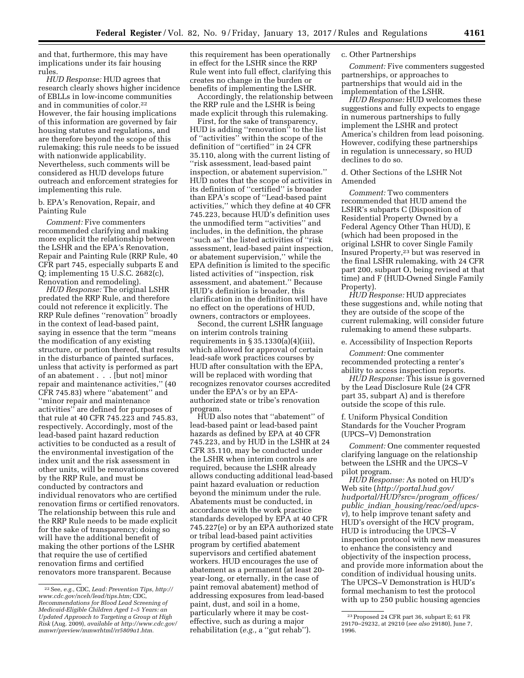and that, furthermore, this may have implications under its fair housing rules.

*HUD Response:* HUD agrees that research clearly shows higher incidence of EBLLs in low-income communities and in communities of color.22 However, the fair housing implications of this information are governed by fair housing statutes and regulations, and are therefore beyond the scope of this rulemaking; this rule needs to be issued with nationwide applicability. Nevertheless, such comments will be considered as HUD develops future outreach and enforcement strategies for implementing this rule.

## b. EPA's Renovation, Repair, and Painting Rule

*Comment:* Five commenters recommended clarifying and making more explicit the relationship between the LSHR and the EPA's Renovation, Repair and Painting Rule (RRP Rule, 40 CFR part 745, especially subparts E and Q; implementing 15 U.S.C. 2682(c), Renovation and remodeling).

*HUD Response:* The original LSHR predated the RRP Rule, and therefore could not reference it explicitly. The RRP Rule defines ''renovation'' broadly in the context of lead-based paint, saying in essence that the term ''means the modification of any existing structure, or portion thereof, that results in the disturbance of painted surfaces, unless that activity is performed as part of an abatement . . . [but not] minor repair and maintenance activities,'' (40 CFR 745.83) where ''abatement'' and ''minor repair and maintenance activities'' are defined for purposes of that rule at 40 CFR 745.223 and 745.83, respectively. Accordingly, most of the lead-based paint hazard reduction activities to be conducted as a result of the environmental investigation of the index unit and the risk assessment in other units, will be renovations covered by the RRP Rule, and must be conducted by contractors and individual renovators who are certified renovation firms or certified renovators. The relationship between this rule and the RRP Rule needs to be made explicit for the sake of transparency; doing so will have the additional benefit of making the other portions of the LSHR that require the use of certified renovation firms and certified renovators more transparent. Because

this requirement has been operationally in effect for the LSHR since the RRP Rule went into full effect, clarifying this creates no change in the burden or benefits of implementing the LSHR.

Accordingly, the relationship between the RRP rule and the LSHR is being made explicit through this rulemaking.

First, for the sake of transparency, HUD is adding ''renovation'' to the list of ''activities'' within the scope of the definition of ''certified'' in 24 CFR 35.110, along with the current listing of ''risk assessment, lead-based paint inspection, or abatement supervision.'' HUD notes that the scope of activities in its definition of ''certified'' is broader than EPA's scope of ''Lead-based paint activities,'' which they define at 40 CFR 745.223, because HUD's definition uses the unmodified term ''activities'' and includes, in the definition, the phrase ''such as'' the listed activities of ''risk assessment, lead-based paint inspection, or abatement supervision,'' while the EPA definition is limited to the specific listed activities of ''inspection, risk assessment, and abatement.'' Because HUD's definition is broader, this clarification in the definition will have no effect on the operations of HUD, owners, contractors or employees.

Second, the current LSHR language on interim controls training requirements in  $\S 35.1330(a)(4)(iii)$ , which allowed for approval of certain lead-safe work practices courses by HUD after consultation with the EPA, will be replaced with wording that recognizes renovator courses accredited under the EPA's or by an EPAauthorized state or tribe's renovation program.

HUD also notes that ''abatement'' of lead-based paint or lead-based paint hazards as defined by EPA at 40 CFR 745.223, and by HUD in the LSHR at 24 CFR 35.110, may be conducted under the LSHR when interim controls are required, because the LSHR already allows conducting additional lead-based paint hazard evaluation or reduction beyond the minimum under the rule. Abatements must be conducted, in accordance with the work practice standards developed by EPA at 40 CFR 745.227(e) or by an EPA authorized state or tribal lead-based paint activities program by certified abatement supervisors and certified abatement workers. HUD encourages the use of abatement as a permanent (at least 20 year-long, or eternally, in the case of paint removal abatement) method of addressing exposures from lead-based paint, dust, and soil in a home, particularly where it may be costeffective, such as during a major rehabilitation (*e.g.,* a ''gut rehab'').

## c. Other Partnerships

*Comment:* Five commenters suggested partnerships, or approaches to partnerships that would aid in the implementation of the LSHR.

*HUD Response:* HUD welcomes these suggestions and fully expects to engage in numerous partnerships to fully implement the LSHR and protect America's children from lead poisoning. However, codifying these partnerships in regulation is unnecessary, so HUD declines to do so.

d. Other Sections of the LSHR Not Amended

*Comment:* Two commenters recommended that HUD amend the LSHR's subparts C (Disposition of Residential Property Owned by a Federal Agency Other Than HUD), E (which had been proposed in the original LSHR to cover Single Family Insured Property,23 but was reserved in the final LSHR rulemaking, with 24 CFR part 200, subpart O, being revised at that time) and F (HUD-Owned Single Family Property).

*HUD Response:* HUD appreciates these suggestions and, while noting that they are outside of the scope of the current rulemaking, will consider future rulemaking to amend these subparts.

e. Accessibility of Inspection Reports

*Comment:* One commenter recommended protecting a renter's ability to access inspection reports.

*HUD Response:* This issue is governed by the Lead Disclosure Rule (24 CFR part 35, subpart A) and is therefore outside the scope of this rule.

f. Uniform Physical Condition Standards for the Voucher Program (UPCS–V) Demonstration

*Comment:* One commenter requested clarifying language on the relationship between the LSHR and the UPCS–V pilot program.

*HUD Response:* As noted on HUD's Web site (*[http://portal.hud.gov/](http://portal.hud.gov/hudportal/HUD?src=/program_offices/public_indian_housing/reac/oed/upcs-v)  [hudportal/HUD?src=/program](http://portal.hud.gov/hudportal/HUD?src=/program_offices/public_indian_housing/reac/oed/upcs-v)*\_*offices/ public*\_*indian*\_*housing/reac/oed/upcs[v](http://portal.hud.gov/hudportal/HUD?src=/program_offices/public_indian_housing/reac/oed/upcs-v)*)*,* to help improve tenant safety and HUD's oversight of the HCV program, HUD is introducing the UPCS–V inspection protocol with new measures to enhance the consistency and objectivity of the inspection process, and provide more information about the condition of individual housing units. The UPCS–V Demonstration is HUD's formal mechanism to test the protocol with up to 250 public housing agencies

<sup>22</sup>See, *e.g.,* CDC, *Lead: Prevention Tips, [http://](http://www.cdc.gov/nceh/lead/tips.htm) [www.cdc.gov/nceh/lead/tips.htm;](http://www.cdc.gov/nceh/lead/tips.htm)* CDC, *Recommendations for Blood Lead Screening of Medicaid-Eligible Children Aged 1–5 Years: an Updated Approach to Targeting a Group at High Risk* (Aug. 2009), *available at [http://www.cdc.gov/](http://www.cdc.gov/mmwr/preview/mmwrhtml/rr5809a1.htm)  [mmwr/preview/mmwrhtml/rr5809a1.htm.](http://www.cdc.gov/mmwr/preview/mmwrhtml/rr5809a1.htm)* 

<sup>23</sup>Proposed 24 CFR part 36, subpart E; 61 FR 29170–29232, at 29210 (*see also* 29180), June 7, 1996.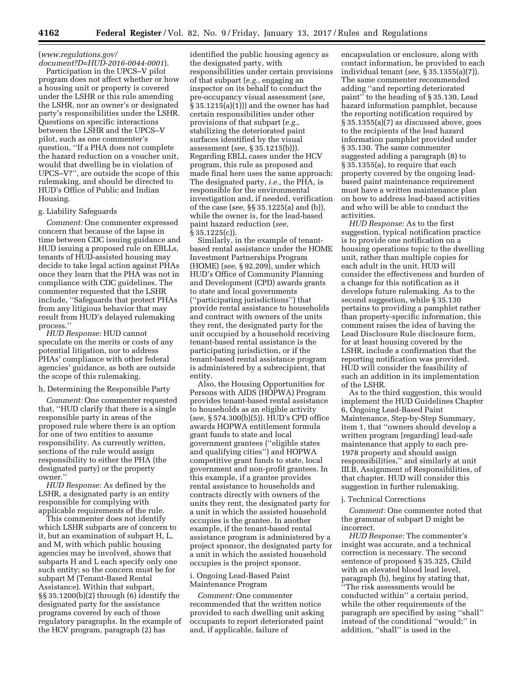# (*[www.regulations.gov/](http://www.regulations.gov/document?D=HUD-2016-0044-0001)*

*[document?D=HUD-2016-0044-0001](http://www.regulations.gov/document?D=HUD-2016-0044-0001)*). Participation in the UPCS–V pilot program does not affect whether or how a housing unit or property is covered under the LSHR or this rule amending the LSHR, nor an owner's or designated party's responsibilities under the LSHR. Questions on specific interactions between the LSHR and the UPCS–V pilot, such as one commenter's question, ''If a PHA does not complete the hazard reduction on a voucher unit, would that dwelling be in violation of UPCS–V?'', are outside the scope of this rulemaking, and should be directed to HUD's Office of Public and Indian Housing.

#### g. Liability Safeguards

*Comment:* One commenter expressed concern that because of the lapse in time between CDC issuing guidance and HUD issuing a proposed rule on EBLLs, tenants of HUD-assisted housing may decide to take legal action against PHAs once they learn that the PHA was not in compliance with CDC guidelines. The commenter requested that the LSHR include, ''Safeguards that protect PHAs from any litigious behavior that may result from HUD's delayed rulemaking process.''

*HUD Response:* HUD cannot speculate on the merits or costs of any potential litigation, nor to address PHAs' compliance with other federal agencies' guidance, as both are outside the scope of this rulemaking.

h. Determining the Responsible Party

*Comment:* One commenter requested that, ''HUD clarify that there is a single responsible party in areas of the proposed rule where there is an option for one of two entities to assume responsibility. As currently written, sections of the rule would assign responsibility to either the PHA (the designated party) or the property owner.''

*HUD Response:* As defined by the LSHR, a designated party is an entity responsible for complying with applicable requirements of the rule.

This commenter does not identify which LSHR subparts are of concern to it, but an examination of subpart H, L, and M, with which public housing agencies may be involved, shows that subparts H and L each specify only one such entity; so the concern must be for subpart M (Tenant-Based Rental Assistance). Within that subpart, §§ 35.1200(b)(2) through (6) identify the designated party for the assistance programs covered by each of those regulatory paragraphs. In the example of the HCV program, paragraph (2) has

identified the public housing agency as the designated party, with responsibilities under certain provisions of that subpart (*e.g.,* engaging an inspector on its behalf to conduct the pre-occupancy visual assessment (*see,*  § 35.1215(a)(1))) and the owner has had certain responsibilities under other provisions of that subpart (*e.g.,*  stabilizing the deteriorated paint surfaces identified by the visual assessment (*see,* § 35.1215(b))). Regarding EBLL cases under the HCV program, this rule as proposed and made final here uses the same approach: The designated party, *i.e.,* the PHA, is responsible for the environmental investigation and, if needed, verification of the case (*see,* §§ 35.1225(a) and (b)), while the owner is, for the lead-based paint hazard reduction (*see,*  § 35.1225(c)).

Similarly, in the example of tenantbased rental assistance under the HOME Investment Partnerships Program (HOME) (*see,* § 92.209), under which HUD's Office of Community Planning and Development (CPD) awards grants to state and local governments (''participating jurisdictions'') that provide rental assistance to households and contract with owners of the units they rent, the designated party for the unit occupied by a household receiving tenant-based rental assistance is the participating jurisdiction, or if the tenant-based rental assistance program is administered by a subrecipient, that entity.

Also, the Housing Opportunities for Persons with AIDS (HOPWA) Program provides tenant-based rental assistance to households as an eligible activity (*see,* § 574.300(b)(5)). HUD's CPD office awards HOPWA entitlement formula grant funds to state and local government grantees (''eligible states and qualifying cities'') and HOPWA competitive grant funds to state, local government and non-profit grantees. In this example, if a grantee provides rental assistance to households and contracts directly with owners of the units they rent, the designated party for a unit in which the assisted household occupies is the grantee. In another example, if the tenant-based rental assistance program is administered by a project sponsor, the designated party for a unit in which the assisted household occupies is the project sponsor.

## i. Ongoing Lead-Based Paint Maintenance Program

*Comment:* One commenter recommended that the written notice provided to each dwelling unit asking occupants to report deteriorated paint and, if applicable, failure of

encapsulation or enclosure, along with contact information, be provided to each individual tenant (*see,* § 35.1355(a)(7)). The same commenter recommended adding ''and reporting deteriorated paint'' to the heading of § 35.130, Lead hazard information pamphlet, because the reporting notification required by § 35.1355(a)(7) as discussed above, goes to the recipients of the lead hazard information pamphlet provided under § 35.130. The same commenter suggested adding a paragraph (8) to § 35.1355(a), to require that each property covered by the ongoing leadbased paint maintenance requirement must have a written maintenance plan on how to address lead-based activities and who will be able to conduct the activities.

*HUD Response:* As to the first suggestion, typical notification practice is to provide one notification on a housing operations topic to the dwelling unit, rather than multiple copies for each adult in the unit. HUD will consider the effectiveness and burden of a change for this notification as it develops future rulemaking. As to the second suggestion, while § 35.130 pertains to providing a pamphlet rather than property-specific information, this comment raises the idea of having the Lead Disclosure Rule disclosure form, for at least housing covered by the LSHR, include a confirmation that the reporting notification was provided. HUD will consider the feasibility of such an addition in its implementation of the LSHR.

As to the third suggestion, this would implement the HUD Guidelines Chapter 6, Ongoing Lead-Based Paint Maintenance, Step-by-Step Summary, item 1, that ''owners should develop a written program [regarding] lead-safe maintenance that apply to each pre-1978 property and should assign responsibilities,'' and similarly at unit III.B, Assignment of Responsibilities, of that chapter. HUD will consider this suggestion in further rulemaking.

#### j. Technical Corrections

*Comment:* One commenter noted that the grammar of subpart D might be incorrect.

*HUD Response:* The commenter's insight was accurate, and a technical correction is necessary. The second sentence of proposed § 35.325, Child with an elevated blood lead level, paragraph (b), begins by stating that, ''The risk assessments would be conducted within'' a certain period, while the other requirements of the paragraph are specified by using ''shall'' instead of the conditional ''would;'' in addition, ''shall'' is used in the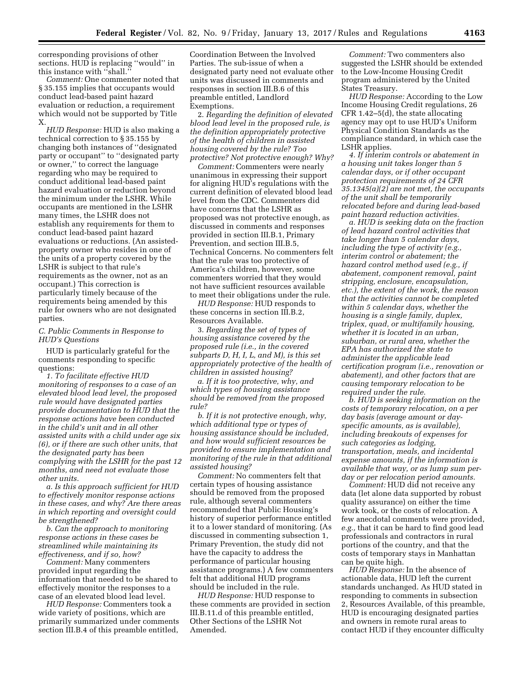corresponding provisions of other sections. HUD is replacing ''would'' in this instance with ''shall.''

*Comment:* One commenter noted that § 35.155 implies that occupants would conduct lead-based paint hazard evaluation or reduction, a requirement which would not be supported by Title X.

*HUD Response:* HUD is also making a technical correction to § 35.155 by changing both instances of ''designated party or occupant'' to ''designated party or owner,'' to correct the language regarding who may be required to conduct additional lead-based paint hazard evaluation or reduction beyond the minimum under the LSHR. While occupants are mentioned in the LSHR many times, the LSHR does not establish any requirements for them to conduct lead-based paint hazard evaluations or reductions. (An assistedproperty owner who resides in one of the units of a property covered by the LSHR is subject to that rule's requirements as the owner, not as an occupant.) This correction is particularly timely because of the requirements being amended by this rule for owners who are not designated parties.

## *C. Public Comments in Response to HUD's Questions*

HUD is particularly grateful for the comments responding to specific questions:

*1. To facilitate effective HUD monitoring of responses to a case of an elevated blood lead level, the proposed rule would have designated parties provide documentation to HUD that the response actions have been conducted in the child's unit and in all other assisted units with a child under age six (6), or if there are such other units, that the designated party has been complying with the LSHR for the past 12 months, and need not evaluate those other units.* 

*a. Is this approach sufficient for HUD to effectively monitor response actions in these cases, and why? Are there areas in which reporting and oversight could be strengthened?* 

*b. Can the approach to monitoring response actions in these cases be streamlined while maintaining its effectiveness, and if so, how?* 

*Comment:* Many commenters provided input regarding the information that needed to be shared to effectively monitor the responses to a case of an elevated blood lead level.

*HUD Response:* Commenters took a wide variety of positions, which are primarily summarized under comments section III.B.4 of this preamble entitled,

Coordination Between the Involved Parties. The sub-issue of when a designated party need not evaluate other units was discussed in comments and responses in section III.B.6 of this preamble entitled, Landlord Exemptions.

2. *Regarding the definition of elevated blood lead level in the proposed rule, is the definition appropriately protective of the health of children in assisted housing covered by the rule? Too protective? Not protective enough? Why?* 

*Comment:* Commenters were nearly unanimous in expressing their support for aligning HUD's regulations with the current definition of elevated blood lead level from the CDC. Commenters did have concerns that the LSHR as proposed was not protective enough, as discussed in comments and responses provided in section III.B.1, Primary Prevention, and section III.B.5, Technical Concerns. No commenters felt that the rule was too protective of America's children, however, some commenters worried that they would not have sufficient resources available to meet their obligations under the rule.

*HUD Response:* HUD responds to these concerns in section III.B.2, Resources Available.

3. *Regarding the set of types of housing assistance covered by the proposed rule (i.e., in the covered subparts D, H, I, L, and M), is this set appropriately protective of the health of children in assisted housing?* 

*a. If it is too protective, why, and which types of housing assistance should be removed from the proposed rule?* 

*b. If it is not protective enough, why, which additional type or types of housing assistance should be included, and how would sufficient resources be provided to ensure implementation and monitoring of the rule in that additional assisted housing?* 

*Comment:* No commenters felt that certain types of housing assistance should be removed from the proposed rule, although several commenters recommended that Public Housing's history of superior performance entitled it to a lower standard of monitoring. (As discussed in commenting subsection 1, Primary Prevention, the study did not have the capacity to address the performance of particular housing assistance programs.) A few commenters felt that additional HUD programs should be included in the rule.

*HUD Response:* HUD response to these comments are provided in section III.B.11.d of this preamble entitled, Other Sections of the LSHR Not Amended.

*Comment:* Two commenters also suggested the LSHR should be extended to the Low-Income Housing Credit program administered by the United States Treasury.

*HUD Response:* According to the Low Income Housing Credit regulations, 26 CFR 1.42–5(d), the state allocating agency may opt to use HUD's Uniform Physical Condition Standards as the compliance standard, in which case the LSHR applies.

*4. If interim controls or abatement in a housing unit takes longer than 5 calendar days, or if other occupant protection requirements of 24 CFR 35.1345(a)(2) are not met, the occupants of the unit shall be temporarily relocated before and during lead-based paint hazard reduction activities.* 

*a. HUD is seeking data on the fraction of lead hazard control activities that take longer than 5 calendar days, including the type of activity (e.g., interim control or abatement; the hazard control method used (e.g., if abatement, component removal, paint stripping, enclosure, encapsulation, etc.), the extent of the work, the reason that the activities cannot be completed within 5 calendar days, whether the housing is a single family, duplex, triplex, quad, or multifamily housing, whether it is located in an urban, suburban, or rural area, whether the EPA has authorized the state to administer the applicable lead certification program (i.e., renovation or abatement), and other factors that are causing temporary relocation to be required under the rule.* 

*b. HUD is seeking information on the costs of temporary relocation, on a per day basis (average amount or dayspecific amounts, as is available), including breakouts of expenses for such categories as lodging, transportation, meals, and incidental expense amounts, if the information is available that way, or as lump sum perday or per relocation period amounts.* 

*Comment:* HUD did not receive any data (let alone data supported by robust quality assurance) on either the time work took, or the costs of relocation. A few anecdotal comments were provided, *e.g.,* that it can be hard to find good lead professionals and contractors in rural portions of the country, and that the costs of temporary stays in Manhattan can be quite high.

*HUD Response:* In the absence of actionable data, HUD left the current standards unchanged. As HUD stated in responding to comments in subsection 2, Resources Available, of this preamble, HUD is encouraging designated parties and owners in remote rural areas to contact HUD if they encounter difficulty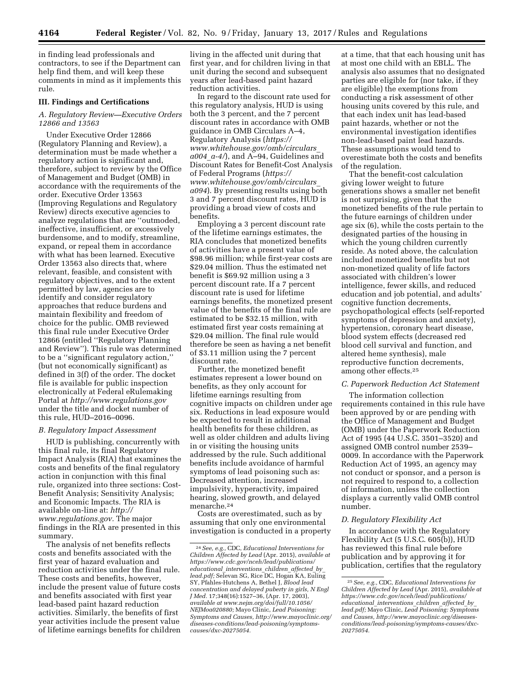in finding lead professionals and contractors, to see if the Department can help find them, and will keep these comments in mind as it implements this rule.

## **III. Findings and Certifications**

## *A. Regulatory Review—Executive Orders 12866 and 13563*

Under Executive Order 12866 (Regulatory Planning and Review), a determination must be made whether a regulatory action is significant and, therefore, subject to review by the Office of Management and Budget (OMB) in accordance with the requirements of the order. Executive Order 13563 (Improving Regulations and Regulatory Review) directs executive agencies to analyze regulations that are ''outmoded, ineffective, insufficient, or excessively burdensome, and to modify, streamline, expand, or repeal them in accordance with what has been learned. Executive Order 13563 also directs that, where relevant, feasible, and consistent with regulatory objectives, and to the extent permitted by law, agencies are to identify and consider regulatory approaches that reduce burdens and maintain flexibility and freedom of choice for the public. OMB reviewed this final rule under Executive Order 12866 (entitled ''Regulatory Planning and Review''). This rule was determined to be a ''significant regulatory action,'' (but not economically significant) as defined in 3(f) of the order. The docket file is available for public inspection electronically at Federal eRulemaking Portal at *<http://www.regulations.gov>*  under the title and docket number of this rule, HUD–2016–0096.

#### *B. Regulatory Impact Assessment*

HUD is publishing, concurrently with this final rule, its final Regulatory Impact Analysis (RIA) that examines the costs and benefits of the final regulatory action in conjunction with this final rule, organized into three sections: Cost-Benefit Analysis; Sensitivity Analysis; and Economic Impacts. The RIA is available on-line at: *[http://](http://www.regulations.gov) [www.regulations.gov.](http://www.regulations.gov)* The major findings in the RIA are presented in this summary.

The analysis of net benefits reflects costs and benefits associated with the first year of hazard evaluation and reduction activities under the final rule. These costs and benefits, however, include the present value of future costs and benefits associated with first year lead-based paint hazard reduction activities. Similarly, the benefits of first year activities include the present value of lifetime earnings benefits for children living in the affected unit during that first year, and for children living in that unit during the second and subsequent years after lead-based paint hazard reduction activities.

In regard to the discount rate used for this regulatory analysis, HUD is using both the 3 percent, and the 7 percent discount rates in accordance with OMB guidance in OMB Circulars A–4, Regulatory Analysis (*[https://](https://www.whitehouse.gov/omb/circulars_a004_a-4/) [www.whitehouse.gov/omb/circulars](https://www.whitehouse.gov/omb/circulars_a004_a-4/)*\_ *[a004](https://www.whitehouse.gov/omb/circulars_a004_a-4/)*\_*a-4/*), and A–94, Guidelines and Discount Rates for Benefit-Cost Analysis of Federal Programs (*[https://](https://www.whitehouse.gov/omb/circulars_a094) [www.whitehouse.gov/omb/circulars](https://www.whitehouse.gov/omb/circulars_a094)*\_ *[a094](https://www.whitehouse.gov/omb/circulars_a094)*). By presenting results using both 3 and 7 percent discount rates, HUD is providing a broad view of costs and benefits.

Employing a 3 percent discount rate of the lifetime earnings estimates, the RIA concludes that monetized benefits of activities have a present value of \$98.96 million; while first-year costs are \$29.04 million. Thus the estimated net benefit is \$69.92 million using a 3 percent discount rate. If a 7 percent discount rate is used for lifetime earnings benefits, the monetized present value of the benefits of the final rule are estimated to be \$32.15 million, with estimated first year costs remaining at \$29.04 million. The final rule would therefore be seen as having a net benefit of \$3.11 million using the 7 percent discount rate.

Further, the monetized benefit estimates represent a lower bound on benefits, as they only account for lifetime earnings resulting from cognitive impacts on children under age six. Reductions in lead exposure would be expected to result in additional health benefits for these children, as well as older children and adults living in or visiting the housing units addressed by the rule. Such additional benefits include avoidance of harmful symptoms of lead poisoning such as: Decreased attention, increased impulsivity, hyperactivity, impaired hearing, slowed growth, and delayed menarche.24

Costs are overestimated, such as by assuming that only one environmental investigation is conducted in a property at a time, that that each housing unit has at most one child with an EBLL. The analysis also assumes that no designated parties are eligible for (nor take, if they are eligible) the exemptions from conducting a risk assessment of other housing units covered by this rule, and that each index unit has lead-based paint hazards, whether or not the environmental investigation identifies non-lead-based paint lead hazards. These assumptions would tend to overestimate both the costs and benefits of the regulation.

That the benefit-cost calculation giving lower weight to future generations shows a smaller net benefit is not surprising, given that the monetized benefits of the rule pertain to the future earnings of children under age six (6), while the costs pertain to the designated parties of the housing in which the young children currently reside. As noted above, the calculation included monetized benefits but not non-monetized quality of life factors associated with children's lower intelligence, fewer skills, and reduced education and job potential, and adults' cognitive function decrements, psychopathological effects (self-reported symptoms of depression and anxiety), hypertension, coronary heart disease, blood system effects (decreased red blood cell survival and function, and altered heme synthesis), male reproductive function decrements, among other effects.25

## *C. Paperwork Reduction Act Statement*

The information collection requirements contained in this rule have been approved by or are pending with the Office of Management and Budget (OMB) under the Paperwork Reduction Act of 1995 (44 U.S.C. 3501–3520) and assigned OMB control number 2539– 0009. In accordance with the Paperwork Reduction Act of 1995, an agency may not conduct or sponsor, and a person is not required to respond to, a collection of information, unless the collection displays a currently valid OMB control number.

## *D. Regulatory Flexibility Act*

In accordance with the Regulatory Flexibility Act (5 U.S.C. 605(b)), HUD has reviewed this final rule before publication and by approving it for publication, certifies that the regulatory

<sup>24</sup>*See, e.g.,* CDC, *Educational Interventions for Children Affected by Lead* (Apr. 2015), *available at [https://www.cdc.gov/nceh/lead/publications/](https://www.cdc.gov/nceh/lead/publications/educational_interventions_children_affected_by_lead.pdf) educational*\_*[interventions](https://www.cdc.gov/nceh/lead/publications/educational_interventions_children_affected_by_lead.pdf)*\_*children*\_*affected*\_*by*\_ *[lead.pdf;](https://www.cdc.gov/nceh/lead/publications/educational_interventions_children_affected_by_lead.pdf)* Selevan SG, Rice DC, Hogan KA, Euling SY, Pfahles-Hutchens A, Bethel J, *Blood lead concentration and delayed puberty in girls, N Engl J Med.* 17;348(16):1527–36, (Apr. 17, 2003), *available at [www.nejm.org/doi/full/10.1056/](http://www.nejm.org/doi/full/10.1056/NEJMoa020880)  [NEJMoa020880;](http://www.nejm.org/doi/full/10.1056/NEJMoa020880)* Mayo Clinic, *Lead Poisoning: Symptoms and Causes, [http://www.mayoclinic.org/](http://www.mayoclinic.org/diseases-conditions/lead-poisoning/symptoms-causes/dxc-20275054)  [diseases-conditions/lead-poisoning/symptoms](http://www.mayoclinic.org/diseases-conditions/lead-poisoning/symptoms-causes/dxc-20275054)[causes/dxc-20275054.](http://www.mayoclinic.org/diseases-conditions/lead-poisoning/symptoms-causes/dxc-20275054)* 

<sup>25</sup>*See, e.g.,* CDC, *Educational Interventions for Children Affected by Lead* (Apr. 2015), *available at [https://www.cdc.gov/nceh/lead/publications/](https://www.cdc.gov/nceh/lead/publications/educational_interventions_children_affected_by_lead.pdf) educational*\_*[interventions](https://www.cdc.gov/nceh/lead/publications/educational_interventions_children_affected_by_lead.pdf)*\_*children*\_*affected*\_*by*\_ *[lead.pdf;](https://www.cdc.gov/nceh/lead/publications/educational_interventions_children_affected_by_lead.pdf)* Mayo Clinic, *Lead Poisoning: Symptoms and Causes, [http://www.mayoclinic.org/diseases](http://www.mayoclinic.org/diseases-conditions/lead-poisoning/symptoms-causes/dxc-20275054)[conditions/lead-poisoning/symptoms-causes/dxc-](http://www.mayoclinic.org/diseases-conditions/lead-poisoning/symptoms-causes/dxc-20275054)[20275054.](http://www.mayoclinic.org/diseases-conditions/lead-poisoning/symptoms-causes/dxc-20275054)*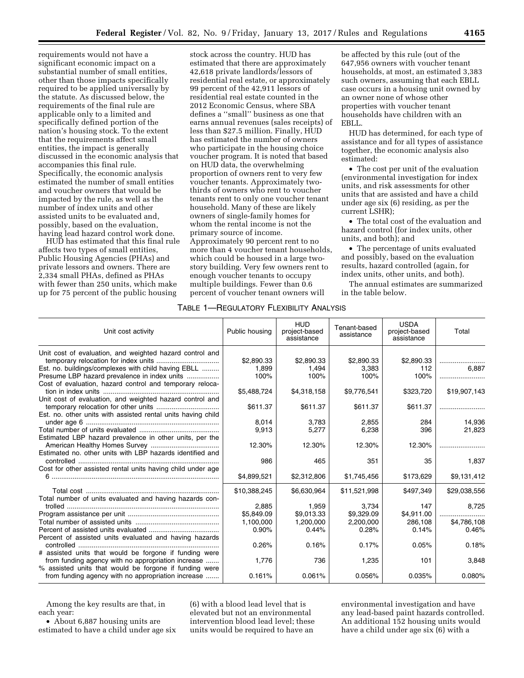requirements would not have a significant economic impact on a substantial number of small entities, other than those impacts specifically required to be applied universally by the statute. As discussed below, the requirements of the final rule are applicable only to a limited and specifically defined portion of the nation's housing stock. To the extent that the requirements affect small entities, the impact is generally discussed in the economic analysis that accompanies this final rule. Specifically, the economic analysis estimated the number of small entities and voucher owners that would be impacted by the rule, as well as the number of index units and other assisted units to be evaluated and, possibly, based on the evaluation, having lead hazard control work done.

HUD has estimated that this final rule affects two types of small entities, Public Housing Agencies (PHAs) and private lessors and owners. There are 2,334 small PHAs, defined as PHAs with fewer than 250 units, which make up for 75 percent of the public housing

stock across the country. HUD has estimated that there are approximately 42,618 private landlords/lessors of residential real estate, or approximately 99 percent of the 42,911 lessors of residential real estate counted in the 2012 Economic Census, where SBA defines a ''small'' business as one that earns annual revenues (sales receipts) of less than \$27.5 million. Finally, HUD has estimated the number of owners who participate in the housing choice voucher program. It is noted that based on HUD data, the overwhelming proportion of owners rent to very few voucher tenants. Approximately twothirds of owners who rent to voucher tenants rent to only one voucher tenant household. Many of these are likely owners of single-family homes for whom the rental income is not the primary source of income. Approximately 90 percent rent to no more than 4 voucher tenant households, which could be housed in a large twostory building. Very few owners rent to enough voucher tenants to occupy multiple buildings. Fewer than 0.6 percent of voucher tenant owners will

be affected by this rule (out of the 647,956 owners with voucher tenant households, at most, an estimated 3,383 such owners, assuming that each EBLL case occurs in a housing unit owned by an owner none of whose other properties with voucher tenant households have children with an EBLL.

HUD has determined, for each type of assistance and for all types of assistance together, the economic analysis also estimated:

• The cost per unit of the evaluation (environmental investigation for index units, and risk assessments for other units that are assisted and have a child under age six (6) residing, as per the current LSHR);

• The total cost of the evaluation and hazard control (for index units, other units, and both); and

• The percentage of units evaluated and possibly, based on the evaluation results, hazard controlled (again, for index units, other units, and both).

The annual estimates are summarized in the table below.

## TABLE 1—REGULATORY FLEXIBILITY ANALYSIS

| Unit cost activity                                           | Public housing | <b>HUD</b><br>project-based<br>assistance | Tenant-based<br>assistance | <b>USDA</b><br>project-based<br>assistance | Total        |
|--------------------------------------------------------------|----------------|-------------------------------------------|----------------------------|--------------------------------------------|--------------|
|                                                              |                |                                           |                            |                                            |              |
| Unit cost of evaluation, and weighted hazard control and     |                |                                           |                            |                                            |              |
|                                                              | \$2,890.33     | \$2,890.33                                | \$2,890.33                 | \$2,890.33                                 | .<br>6.887   |
| Est. no. buildings/complexes with child having EBLL          | 1.899<br>100%  | 1,494<br>100%                             | 3,383<br>100%              | 112<br>100%                                |              |
| Presume LBP hazard prevalence in index units                 |                |                                           |                            |                                            |              |
| Cost of evaluation, hazard control and temporary reloca-     | \$5,488,724    | \$4,318,158                               | \$9,776,541                | \$323,720                                  | \$19,907,143 |
| Unit cost of evaluation, and weighted hazard control and     |                |                                           |                            |                                            |              |
|                                                              | \$611.37       | \$611.37                                  | \$611.37                   | \$611.37                                   |              |
| Est. no. other units with assisted rental units having child |                |                                           |                            |                                            |              |
|                                                              | 8,014          | 3,783                                     | 2,855                      | 284                                        | 14,936       |
|                                                              | 9.913          | 5,277                                     | 6,238                      | 396                                        | 21,823       |
| Estimated LBP hazard prevalence in other units, per the      |                |                                           |                            |                                            |              |
|                                                              | 12.30%         | 12.30%                                    | 12.30%                     | 12.30%                                     |              |
| Estimated no. other units with LBP hazards identified and    |                |                                           |                            |                                            |              |
|                                                              | 986            | 465                                       | 351                        | 35                                         | 1,837        |
| Cost for other assisted rental units having child under age  |                |                                           |                            |                                            |              |
|                                                              | \$4,899,521    | \$2,312,806                               | \$1,745,456                | \$173,629                                  | \$9,131,412  |
|                                                              |                |                                           |                            |                                            |              |
|                                                              | \$10,388,245   | \$6,630,964                               | \$11,521,998               | \$497,349                                  | \$29,038,556 |
| Total number of units evaluated and having hazards con-      |                |                                           |                            |                                            |              |
|                                                              | 2.885          | 1.959                                     | 3.734                      | 147                                        | 8.725        |
|                                                              | \$5,849.09     | \$9,013.33                                | \$9,329.09                 | \$4,911.00                                 |              |
|                                                              | 1,100,000      | 1,200,000                                 | 2,200,000                  | 286,108                                    | \$4,786,108  |
|                                                              | 0.90%          | 0.44%                                     | 0.28%                      | 0.14%                                      | 0.46%        |
| Percent of assisted units evaluated and having hazards       |                |                                           |                            |                                            |              |
|                                                              | 0.26%          | 0.16%                                     | 0.17%                      | 0.05%                                      | 0.18%        |
| # assisted units that would be forgone if funding were       |                |                                           |                            |                                            |              |
| from funding agency with no appropriation increase           | 1.776          | 736                                       | 1,235                      | 101                                        | 3,848        |
| % assisted units that would be forgone if funding were       |                |                                           |                            |                                            |              |
| from funding agency with no appropriation increase           | 0.161%         | 0.061%                                    | 0.056%                     | 0.035%                                     | 0.080%       |
|                                                              |                |                                           |                            |                                            |              |

Among the key results are that, in each year:

• About 6,887 housing units are estimated to have a child under age six (6) with a blood lead level that is elevated but not an environmental intervention blood lead level; these units would be required to have an

environmental investigation and have any lead-based paint hazards controlled. An additional 152 housing units would have a child under age six (6) with a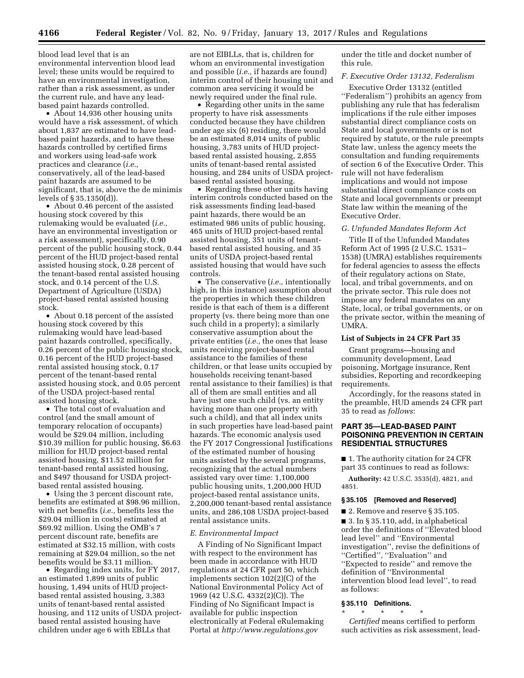blood lead level that is an environmental intervention blood lead level; these units would be required to have an environmental investigation, rather than a risk assessment, as under the current rule, and have any leadbased paint hazards controlled.

• About 14,936 other housing units would have a risk assessment, of which about 1,837 are estimated to have leadbased paint hazards, and to have these hazards controlled by certified firms and workers using lead-safe work practices and clearance (*i.e.,*  conservatively, all of the lead-based paint hazards are assumed to be significant, that is, above the de minimis levels of § 35.1350(d)).

• About 0.46 percent of the assisted housing stock covered by this rulemaking would be evaluated (*i.e.,*  have an environmental investigation or a risk assessment), specifically, 0.90 percent of the public housing stock, 0.44 percent of the HUD project-based rental assisted housing stock, 0.28 percent of the tenant-based rental assisted housing stock, and 0.14 percent of the U.S. Department of Agriculture (USDA) project-based rental assisted housing stock.

• About 0.18 percent of the assisted housing stock covered by this rulemaking would have lead-based paint hazards controlled, specifically, 0.26 percent of the public housing stock, 0.16 percent of the HUD project-based rental assisted housing stock, 0.17 percent of the tenant-based rental assisted housing stock, and 0.05 percent of the USDA project-based rental assisted housing stock.

• The total cost of evaluation and control (and the small amount of temporary relocation of occupants) would be \$29.04 million, including \$10.39 million for public housing, \$6.63 million for HUD project-based rental assisted housing, \$11.52 million for tenant-based rental assisted housing, and \$497 thousand for USDA projectbased rental assisted housing.

• Using the 3 percent discount rate, benefits are estimated at \$98.96 million, with net benefits (*i.e.,* benefits less the \$29.04 million in costs) estimated at \$69.92 million. Using the OMB's 7 percent discount rate, benefits are estimated at \$32.15 million, with costs remaining at \$29.04 million, so the net benefits would be \$3.11 million.

• Regarding index units, for FY 2017, an estimated 1,899 units of public housing, 1,494 units of HUD projectbased rental assisted housing, 3,383 units of tenant-based rental assisted housing, and 112 units of USDA projectbased rental assisted housing have children under age 6 with EBLLs that

are not EIBLLs, that is, children for whom an environmental investigation and possible (*i.e.,* if hazards are found) interim control of their housing unit and common area servicing it would be newly required under the final rule.

• Regarding other units in the same property to have risk assessments conducted because they have children under age six (6) residing, there would be an estimated 8,014 units of public housing, 3,783 units of HUD projectbased rental assisted housing, 2,855 units of tenant-based rental assisted housing, and 284 units of USDA projectbased rental assisted housing.

• Regarding these other units having interim controls conducted based on the risk assessments finding lead-based paint hazards, there would be an estimated 986 units of public housing, 465 units of HUD project-based rental assisted housing, 351 units of tenantbased rental assisted housing, and 35 units of USDA project-based rental assisted housing that would have such controls.

• The conservative (*i.e.,* intentionally high, in this instance) assumption about the properties in which these children reside is that each of them is a different property (vs. there being more than one such child in a property); a similarly conservative assumption about the private entities (*i.e.,* the ones that lease units receiving project-based rental assistance to the families of these children, or that lease units occupied by households receiving tenant-based rental assistance to their families) is that all of them are small entities and all have just one such child (vs. an entity having more than one property with such a child), and that all index units in such properties have lead-based paint hazards. The economic analysis used the FY 2017 Congressional Justifications of the estimated number of housing units assisted by the several programs, recognizing that the actual numbers assisted vary over time: 1,100,000 public housing units, 1,200,000 HUD project-based rental assistance units, 2,200,000 tenant-based rental assistance units, and 286,108 USDA project-based rental assistance units.

#### *E. Environmental Impact*

A Finding of No Significant Impact with respect to the environment has been made in accordance with HUD regulations at 24 CFR part 50, which implements section 102(2)(C) of the National Environmental Policy Act of 1969 (42 U.S.C. 4332(2)(C)). The Finding of No Significant Impact is available for public inspection electronically at Federal eRulemaking Portal at *<http://www.regulations.gov>* 

under the title and docket number of this rule.

## *F. Executive Order 13132, Federalism*

Executive Order 13132 (entitled ''Federalism'') prohibits an agency from publishing any rule that has federalism implications if the rule either imposes substantial direct compliance costs on State and local governments or is not required by statute, or the rule preempts State law, unless the agency meets the consultation and funding requirements of section 6 of the Executive Order. This rule will not have federalism implications and would not impose substantial direct compliance costs on State and local governments or preempt State law within the meaning of the Executive Order.

#### *G. Unfunded Mandates Reform Act*

Title II of the Unfunded Mandates Reform Act of 1995 (2 U.S.C. 1531– 1538) (UMRA) establishes requirements for federal agencies to assess the effects of their regulatory actions on State, local, and tribal governments, and on the private sector. This rule does not impose any federal mandates on any State, local, or tribal governments, or on the private sector, within the meaning of UMRA.

#### **List of Subjects in 24 CFR Part 35**

Grant programs—housing and community development, Lead poisoning, Mortgage insurance, Rent subsidies, Reporting and recordkeeping requirements.

Accordingly, for the reasons stated in the preamble, HUD amends 24 CFR part 35 to read as *follows*:

## **PART 35—LEAD-BASED PAINT POISONING PREVENTION IN CERTAIN RESIDENTIAL STRUCTURES**

■ 1. The authority citation for 24 CFR part 35 continues to read as follows:

**Authority:** 42 U.S.C. 3535(d), 4821, and 4851.

#### **§ 35.105 [Removed and Reserved]**

■ 2. Remove and reserve § 35.105. ■ 3. In § 35.110, add, in alphabetical order the definitions of ''Elevated blood lead level'' and ''Environmental investigation'', revise the definitions of ''Certified'', ''Evaluation'' and ''Expected to reside'' and remove the definition of ''Environmental

intervention blood lead level'', to read as follows:

## **§ 35.110 Definitions.**

\* \* \* \* \*

*Certified* means certified to perform such activities as risk assessment, lead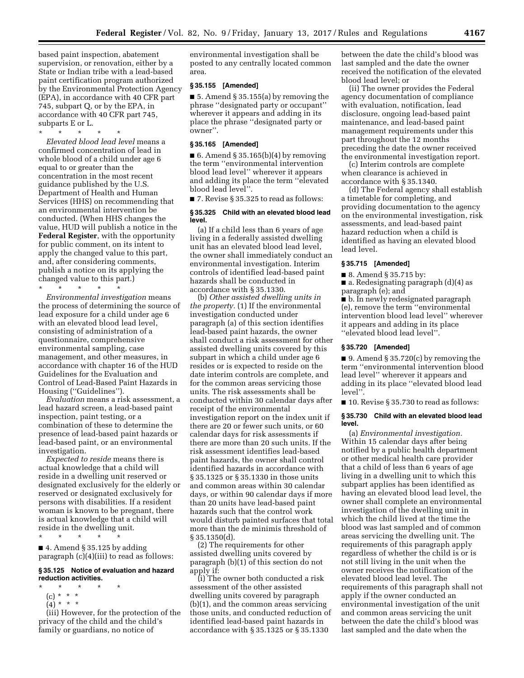based paint inspection, abatement supervision, or renovation, either by a State or Indian tribe with a lead-based paint certification program authorized by the Environmental Protection Agency (EPA), in accordance with 40 CFR part 745, subpart Q, or by the EPA, in accordance with 40 CFR part 745, subparts E or L.

\* \* \* \* \*

*Elevated blood lead level* means a confirmed concentration of lead in whole blood of a child under age 6 equal to or greater than the concentration in the most recent guidance published by the U.S. Department of Health and Human Services (HHS) on recommending that an environmental intervention be conducted. (When HHS changes the value, HUD will publish a notice in the **Federal Register**, with the opportunity for public comment, on its intent to apply the changed value to this part, and, after considering comments, publish a notice on its applying the changed value to this part.)

\* \* \* \* \*

*Environmental investigation* means the process of determining the source of lead exposure for a child under age 6 with an elevated blood lead level, consisting of administration of a questionnaire, comprehensive environmental sampling, case management, and other measures, in accordance with chapter 16 of the HUD Guidelines for the Evaluation and Control of Lead-Based Paint Hazards in Housing (''Guidelines'').

*Evaluation* means a risk assessment, a lead hazard screen, a lead-based paint inspection, paint testing, or a combination of these to determine the presence of lead-based paint hazards or lead-based paint, or an environmental investigation.

*Expected to reside* means there is actual knowledge that a child will reside in a dwelling unit reserved or designated exclusively for the elderly or reserved or designated exclusively for persons with disabilities. If a resident woman is known to be pregnant, there is actual knowledge that a child will reside in the dwelling unit. \* \* \* \* \*

 $\blacksquare$  4. Amend § 35.125 by adding paragraph (c)(4)(iii) to read as follows:

#### **§ 35.125 Notice of evaluation and hazard reduction activities.**

- \* \* \* \* \*
	- (c) \* \* \*
	- (4) \* \* \*

(iii) However, for the protection of the privacy of the child and the child's family or guardians, no notice of

environmental investigation shall be posted to any centrally located common area.

## **§ 35.155 [Amended]**

 $\blacksquare$  5. Amend § 35.155(a) by removing the phrase ''designated party or occupant'' wherever it appears and adding in its place the phrase ''designated party or owner''.

## **§ 35.165 [Amended]**

■ 6. Amend § 35.165(b)(4) by removing the term ''environmental intervention blood lead level'' wherever it appears and adding its place the term ''elevated blood lead level''.

■ 7. Revise § 35.325 to read as follows:

### **§ 35.325 Child with an elevated blood lead level.**

(a) If a child less than 6 years of age living in a federally assisted dwelling unit has an elevated blood lead level, the owner shall immediately conduct an environmental investigation. Interim controls of identified lead-based paint hazards shall be conducted in accordance with § 35.1330.

(b) *Other assisted dwelling units in the property.* (1) If the environmental investigation conducted under paragraph (a) of this section identifies lead-based paint hazards, the owner shall conduct a risk assessment for other assisted dwelling units covered by this subpart in which a child under age 6 resides or is expected to reside on the date interim controls are complete, and for the common areas servicing those units. The risk assessments shall be conducted within 30 calendar days after receipt of the environmental investigation report on the index unit if there are 20 or fewer such units, or 60 calendar days for risk assessments if there are more than 20 such units. If the risk assessment identifies lead-based paint hazards, the owner shall control identified hazards in accordance with § 35.1325 or § 35.1330 in those units and common areas within 30 calendar days, or within 90 calendar days if more than 20 units have lead-based paint hazards such that the control work would disturb painted surfaces that total more than the de minimis threshold of § 35.1350(d).

(2) The requirements for other assisted dwelling units covered by paragraph (b)(1) of this section do not apply if:

(i) The owner both conducted a risk assessment of the other assisted dwelling units covered by paragraph (b)(1), and the common areas servicing those units, and conducted reduction of identified lead-based paint hazards in accordance with § 35.1325 or § 35.1330

between the date the child's blood was last sampled and the date the owner received the notification of the elevated blood lead level; or

(ii) The owner provides the Federal agency documentation of compliance with evaluation, notification, lead disclosure, ongoing lead-based paint maintenance, and lead-based paint management requirements under this part throughout the 12 months preceding the date the owner received the environmental investigation report.

(c) Interim controls are complete when clearance is achieved in accordance with § 35.1340.

(d) The Federal agency shall establish a timetable for completing, and providing documentation to the agency on the environmental investigation, risk assessments, and lead-based paint hazard reduction when a child is identified as having an elevated blood lead level.

#### **§ 35.715 [Amended]**

■ 8. Amend § 35.715 by:

 $\blacksquare$  a. Redesignating paragraph  $(d)(4)$  as paragraph (e); and

■ b. In newly redesignated paragraph (e), remove the term ''environmental intervention blood lead level'' wherever it appears and adding in its place ''elevated blood lead level''.

#### **§ 35.720 [Amended]**

 $\blacksquare$  9. Amend § 35.720(c) by removing the term ''environmental intervention blood lead level'' wherever it appears and adding in its place ''elevated blood lead level''.

■ 10. Revise § 35.730 to read as follows:

## **§ 35.730 Child with an elevated blood lead level.**

(a) *Environmental investigation.*  Within 15 calendar days after being notified by a public health department or other medical health care provider that a child of less than 6 years of age living in a dwelling unit to which this subpart applies has been identified as having an elevated blood lead level, the owner shall complete an environmental investigation of the dwelling unit in which the child lived at the time the blood was last sampled and of common areas servicing the dwelling unit. The requirements of this paragraph apply regardless of whether the child is or is not still living in the unit when the owner receives the notification of the elevated blood lead level. The requirements of this paragraph shall not apply if the owner conducted an environmental investigation of the unit and common areas servicing the unit between the date the child's blood was last sampled and the date when the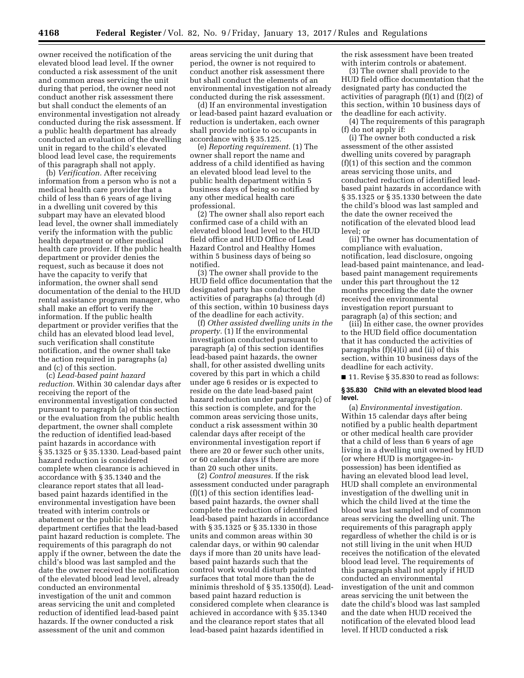owner received the notification of the elevated blood lead level. If the owner conducted a risk assessment of the unit and common areas servicing the unit during that period, the owner need not conduct another risk assessment there but shall conduct the elements of an environmental investigation not already conducted during the risk assessment. If a public health department has already conducted an evaluation of the dwelling unit in regard to the child's elevated blood lead level case, the requirements of this paragraph shall not apply.

(b) *Verification.* After receiving information from a person who is not a medical health care provider that a child of less than 6 years of age living in a dwelling unit covered by this subpart may have an elevated blood lead level, the owner shall immediately verify the information with the public health department or other medical health care provider. If the public health department or provider denies the request, such as because it does not have the capacity to verify that information, the owner shall send documentation of the denial to the HUD rental assistance program manager, who shall make an effort to verify the information. If the public health department or provider verifies that the child has an elevated blood lead level, such verification shall constitute notification, and the owner shall take the action required in paragraphs (a) and (c) of this section.

(c) *Lead-based paint hazard reduction.* Within 30 calendar days after receiving the report of the environmental investigation conducted pursuant to paragraph (a) of this section or the evaluation from the public health department, the owner shall complete the reduction of identified lead-based paint hazards in accordance with § 35.1325 or § 35.1330. Lead-based paint hazard reduction is considered complete when clearance is achieved in accordance with § 35.1340 and the clearance report states that all leadbased paint hazards identified in the environmental investigation have been treated with interim controls or abatement or the public health department certifies that the lead-based paint hazard reduction is complete. The requirements of this paragraph do not apply if the owner, between the date the child's blood was last sampled and the date the owner received the notification of the elevated blood lead level, already conducted an environmental investigation of the unit and common areas servicing the unit and completed reduction of identified lead-based paint hazards. If the owner conducted a risk assessment of the unit and common

areas servicing the unit during that period, the owner is not required to conduct another risk assessment there but shall conduct the elements of an environmental investigation not already conducted during the risk assessment.

(d) If an environmental investigation or lead-based paint hazard evaluation or reduction is undertaken, each owner shall provide notice to occupants in accordance with § 35.125.

(e) *Reporting requirement.* (1) The owner shall report the name and address of a child identified as having an elevated blood lead level to the public health department within 5 business days of being so notified by any other medical health care professional.

(2) The owner shall also report each confirmed case of a child with an elevated blood lead level to the HUD field office and HUD Office of Lead Hazard Control and Healthy Homes within 5 business days of being so notified.

(3) The owner shall provide to the HUD field office documentation that the designated party has conducted the activities of paragraphs (a) through (d) of this section, within 10 business days of the deadline for each activity.

(f) *Other assisted dwelling units in the property.* (1) If the environmental investigation conducted pursuant to paragraph (a) of this section identifies lead-based paint hazards, the owner shall, for other assisted dwelling units covered by this part in which a child under age 6 resides or is expected to reside on the date lead-based paint hazard reduction under paragraph (c) of this section is complete, and for the common areas servicing those units, conduct a risk assessment within 30 calendar days after receipt of the environmental investigation report if there are 20 or fewer such other units, or 60 calendar days if there are more than 20 such other units.

(2) *Control measures.* If the risk assessment conducted under paragraph (f)(1) of this section identifies leadbased paint hazards, the owner shall complete the reduction of identified lead-based paint hazards in accordance with § 35.1325 or § 35.1330 in those units and common areas within 30 calendar days, or within 90 calendar days if more than 20 units have leadbased paint hazards such that the control work would disturb painted surfaces that total more than the de minimis threshold of § 35.1350(d). Leadbased paint hazard reduction is considered complete when clearance is achieved in accordance with § 35.1340 and the clearance report states that all lead-based paint hazards identified in

the risk assessment have been treated with interim controls or abatement.

(3) The owner shall provide to the HUD field office documentation that the designated party has conducted the activities of paragraph (f)(1) and (f)(2) of this section, within 10 business days of the deadline for each activity.

(4) The requirements of this paragraph (f) do not apply if:

(i) The owner both conducted a risk assessment of the other assisted dwelling units covered by paragraph (f)(1) of this section and the common areas servicing those units, and conducted reduction of identified leadbased paint hazards in accordance with § 35.1325 or § 35.1330 between the date the child's blood was last sampled and the date the owner received the notification of the elevated blood lead level; or

(ii) The owner has documentation of compliance with evaluation, notification, lead disclosure, ongoing lead-based paint maintenance, and leadbased paint management requirements under this part throughout the 12 months preceding the date the owner received the environmental investigation report pursuant to paragraph (a) of this section; and

(iii) In either case, the owner provides to the HUD field office documentation that it has conducted the activities of paragraphs (f)(4)(i) and (ii) of this section, within 10 business days of the deadline for each activity.

■ 11. Revise § 35.830 to read as follows:

#### **§ 35.830 Child with an elevated blood lead level.**

(a) *Environmental investigation.*  Within 15 calendar days after being notified by a public health department or other medical health care provider that a child of less than 6 years of age living in a dwelling unit owned by HUD (or where HUD is mortgagee-inpossession) has been identified as having an elevated blood lead level, HUD shall complete an environmental investigation of the dwelling unit in which the child lived at the time the blood was last sampled and of common areas servicing the dwelling unit. The requirements of this paragraph apply regardless of whether the child is or is not still living in the unit when HUD receives the notification of the elevated blood lead level. The requirements of this paragraph shall not apply if HUD conducted an environmental investigation of the unit and common areas servicing the unit between the date the child's blood was last sampled and the date when HUD received the notification of the elevated blood lead level. If HUD conducted a risk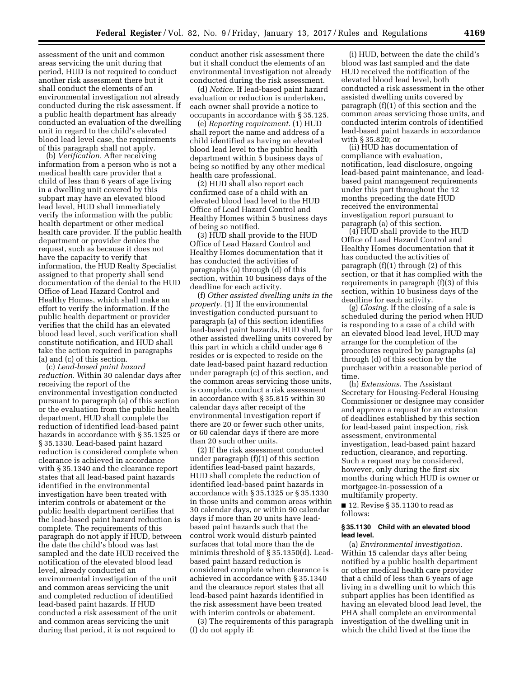assessment of the unit and common areas servicing the unit during that period, HUD is not required to conduct another risk assessment there but it shall conduct the elements of an environmental investigation not already conducted during the risk assessment. If a public health department has already conducted an evaluation of the dwelling unit in regard to the child's elevated blood lead level case, the requirements of this paragraph shall not apply.

(b) *Verification.* After receiving information from a person who is not a medical health care provider that a child of less than 6 years of age living in a dwelling unit covered by this subpart may have an elevated blood lead level, HUD shall immediately verify the information with the public health department or other medical health care provider. If the public health department or provider denies the request, such as because it does not have the capacity to verify that information, the HUD Realty Specialist assigned to that property shall send documentation of the denial to the HUD Office of Lead Hazard Control and Healthy Homes, which shall make an effort to verify the information. If the public health department or provider verifies that the child has an elevated blood lead level, such verification shall constitute notification, and HUD shall take the action required in paragraphs (a) and (c) of this section.

(c) *Lead-based paint hazard reduction.* Within 30 calendar days after receiving the report of the environmental investigation conducted pursuant to paragraph (a) of this section or the evaluation from the public health department, HUD shall complete the reduction of identified lead-based paint hazards in accordance with § 35.1325 or § 35.1330. Lead-based paint hazard reduction is considered complete when clearance is achieved in accordance with § 35.1340 and the clearance report states that all lead-based paint hazards identified in the environmental investigation have been treated with interim controls or abatement or the public health department certifies that the lead-based paint hazard reduction is complete. The requirements of this paragraph do not apply if HUD, between the date the child's blood was last sampled and the date HUD received the notification of the elevated blood lead level, already conducted an environmental investigation of the unit and common areas servicing the unit and completed reduction of identified lead-based paint hazards. If HUD conducted a risk assessment of the unit and common areas servicing the unit during that period, it is not required to

conduct another risk assessment there but it shall conduct the elements of an environmental investigation not already conducted during the risk assessment.

(d) *Notice.* If lead-based paint hazard evaluation or reduction is undertaken, each owner shall provide a notice to occupants in accordance with § 35.125.

(e) *Reporting requirement.* (1) HUD shall report the name and address of a child identified as having an elevated blood lead level to the public health department within 5 business days of being so notified by any other medical health care professional.

(2) HUD shall also report each confirmed case of a child with an elevated blood lead level to the HUD Office of Lead Hazard Control and Healthy Homes within 5 business days of being so notified.

(3) HUD shall provide to the HUD Office of Lead Hazard Control and Healthy Homes documentation that it has conducted the activities of paragraphs (a) through (d) of this section, within 10 business days of the deadline for each activity.

(f) *Other assisted dwelling units in the property.* (1) If the environmental investigation conducted pursuant to paragraph (a) of this section identifies lead-based paint hazards, HUD shall, for other assisted dwelling units covered by this part in which a child under age 6 resides or is expected to reside on the date lead-based paint hazard reduction under paragraph (c) of this section, and the common areas servicing those units, is complete, conduct a risk assessment in accordance with § 35.815 within 30 calendar days after receipt of the environmental investigation report if there are 20 or fewer such other units, or 60 calendar days if there are more than 20 such other units.

(2) If the risk assessment conducted under paragraph (f)(1) of this section identifies lead-based paint hazards, HUD shall complete the reduction of identified lead-based paint hazards in accordance with § 35.1325 or § 35.1330 in those units and common areas within 30 calendar days, or within 90 calendar days if more than 20 units have leadbased paint hazards such that the control work would disturb painted surfaces that total more than the de minimis threshold of § 35.1350(d). Leadbased paint hazard reduction is considered complete when clearance is achieved in accordance with § 35.1340 and the clearance report states that all lead-based paint hazards identified in the risk assessment have been treated with interim controls or abatement.

(3) The requirements of this paragraph (f) do not apply if:

(i) HUD, between the date the child's blood was last sampled and the date HUD received the notification of the elevated blood lead level, both conducted a risk assessment in the other assisted dwelling units covered by paragraph (f)(1) of this section and the common areas servicing those units, and conducted interim controls of identified lead-based paint hazards in accordance with § 35.820; or

(ii) HUD has documentation of compliance with evaluation, notification, lead disclosure, ongoing lead-based paint maintenance, and leadbased paint management requirements under this part throughout the 12 months preceding the date HUD received the environmental investigation report pursuant to paragraph (a) of this section.

(4) HUD shall provide to the HUD Office of Lead Hazard Control and Healthy Homes documentation that it has conducted the activities of paragraph (f)(1) through (2) of this section, or that it has complied with the requirements in paragraph (f)(3) of this section, within 10 business days of the deadline for each activity.

(g) *Closing.* If the closing of a sale is scheduled during the period when HUD is responding to a case of a child with an elevated blood lead level, HUD may arrange for the completion of the procedures required by paragraphs (a) through (d) of this section by the purchaser within a reasonable period of time.

(h) *Extensions.* The Assistant Secretary for Housing-Federal Housing Commissioner or designee may consider and approve a request for an extension of deadlines established by this section for lead-based paint inspection, risk assessment, environmental investigation, lead-based paint hazard reduction, clearance, and reporting. Such a request may be considered, however, only during the first six months during which HUD is owner or mortgagee-in-possession of a multifamily property.

■ 12. Revise § 35.1130 to read as follows:

#### **§ 35.1130 Child with an elevated blood lead level.**

(a) *Environmental investigation.*  Within 15 calendar days after being notified by a public health department or other medical health care provider that a child of less than 6 years of age living in a dwelling unit to which this subpart applies has been identified as having an elevated blood lead level, the PHA shall complete an environmental investigation of the dwelling unit in which the child lived at the time the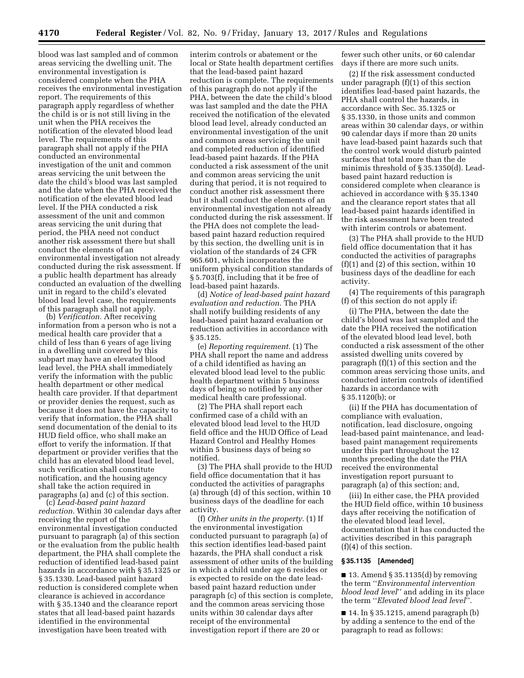blood was last sampled and of common areas servicing the dwelling unit. The environmental investigation is considered complete when the PHA receives the environmental investigation report. The requirements of this paragraph apply regardless of whether the child is or is not still living in the unit when the PHA receives the notification of the elevated blood lead level. The requirements of this paragraph shall not apply if the PHA conducted an environmental investigation of the unit and common areas servicing the unit between the date the child's blood was last sampled and the date when the PHA received the notification of the elevated blood lead level. If the PHA conducted a risk assessment of the unit and common areas servicing the unit during that period, the PHA need not conduct another risk assessment there but shall conduct the elements of an environmental investigation not already conducted during the risk assessment. If a public health department has already conducted an evaluation of the dwelling unit in regard to the child's elevated blood lead level case, the requirements of this paragraph shall not apply.

(b) *Verification.* After receiving information from a person who is not a medical health care provider that a child of less than 6 years of age living in a dwelling unit covered by this subpart may have an elevated blood lead level, the PHA shall immediately verify the information with the public health department or other medical health care provider. If that department or provider denies the request, such as because it does not have the capacity to verify that information, the PHA shall send documentation of the denial to its HUD field office, who shall make an effort to verify the information. If that department or provider verifies that the child has an elevated blood lead level, such verification shall constitute notification, and the housing agency shall take the action required in paragraphs (a) and (c) of this section.

(c) *Lead-based paint hazard reduction.* Within 30 calendar days after receiving the report of the environmental investigation conducted pursuant to paragraph (a) of this section or the evaluation from the public health department, the PHA shall complete the reduction of identified lead-based paint hazards in accordance with § 35.1325 or § 35.1330. Lead-based paint hazard reduction is considered complete when clearance is achieved in accordance with § 35.1340 and the clearance report states that all lead-based paint hazards identified in the environmental investigation have been treated with

interim controls or abatement or the local or State health department certifies that the lead-based paint hazard reduction is complete. The requirements of this paragraph do not apply if the PHA, between the date the child's blood was last sampled and the date the PHA received the notification of the elevated blood lead level, already conducted an environmental investigation of the unit and common areas servicing the unit and completed reduction of identified lead-based paint hazards. If the PHA conducted a risk assessment of the unit and common areas servicing the unit during that period, it is not required to conduct another risk assessment there but it shall conduct the elements of an environmental investigation not already conducted during the risk assessment. If the PHA does not complete the leadbased paint hazard reduction required by this section, the dwelling unit is in violation of the standards of 24 CFR 965.601, which incorporates the uniform physical condition standards of § 5.703(f), including that it be free of lead-based paint hazards.

(d) *Notice of lead-based paint hazard evaluation and reduction.* The PHA shall notify building residents of any lead-based paint hazard evaluation or reduction activities in accordance with § 35.125.

(e) *Reporting requirement.* (1) The PHA shall report the name and address of a child identified as having an elevated blood lead level to the public health department within 5 business days of being so notified by any other medical health care professional.

(2) The PHA shall report each confirmed case of a child with an elevated blood lead level to the HUD field office and the HUD Office of Lead Hazard Control and Healthy Homes within 5 business days of being so notified.

(3) The PHA shall provide to the HUD field office documentation that it has conducted the activities of paragraphs (a) through (d) of this section, within 10 business days of the deadline for each activity.

(f) *Other units in the property.* (1) If the environmental investigation conducted pursuant to paragraph (a) of this section identifies lead-based paint hazards, the PHA shall conduct a risk assessment of other units of the building in which a child under age 6 resides or is expected to reside on the date leadbased paint hazard reduction under paragraph (c) of this section is complete, and the common areas servicing those units within 30 calendar days after receipt of the environmental investigation report if there are 20 or

fewer such other units, or 60 calendar days if there are more such units.

(2) If the risk assessment conducted under paragraph (f)(1) of this section identifies lead-based paint hazards, the PHA shall control the hazards, in accordance with Sec. 35.1325 or § 35.1330, in those units and common areas within 30 calendar days, or within 90 calendar days if more than 20 units have lead-based paint hazards such that the control work would disturb painted surfaces that total more than the de minimis threshold of § 35.1350(d). Leadbased paint hazard reduction is considered complete when clearance is achieved in accordance with § 35.1340 and the clearance report states that all lead-based paint hazards identified in the risk assessment have been treated with interim controls or abatement.

(3) The PHA shall provide to the HUD field office documentation that it has conducted the activities of paragraphs  $(f)(1)$  and  $(2)$  of this section, within 10 business days of the deadline for each activity.

(4) The requirements of this paragraph (f) of this section do not apply if:

(i) The PHA, between the date the child's blood was last sampled and the date the PHA received the notification of the elevated blood lead level, both conducted a risk assessment of the other assisted dwelling units covered by paragraph (f)(1) of this section and the common areas servicing those units, and conducted interim controls of identified hazards in accordance with § 35.1120(b); or

(ii) If the PHA has documentation of compliance with evaluation, notification, lead disclosure, ongoing lead-based paint maintenance, and leadbased paint management requirements under this part throughout the 12 months preceding the date the PHA received the environmental investigation report pursuant to paragraph (a) of this section; and,

(iii) In either case, the PHA provided the HUD field office, within 10 business days after receiving the notification of the elevated blood lead level, documentation that it has conducted the activities described in this paragraph (f)(4) of this section.

## **§ 35.1135 [Amended]**

 $\blacksquare$  13. Amend § 35.1135(d) by removing the term ''*Environmental intervention blood lead level*'' and adding in its place the term ''*Elevated blood lead level*''.

■ 14. In § 35.1215, amend paragraph (b) by adding a sentence to the end of the paragraph to read as follows: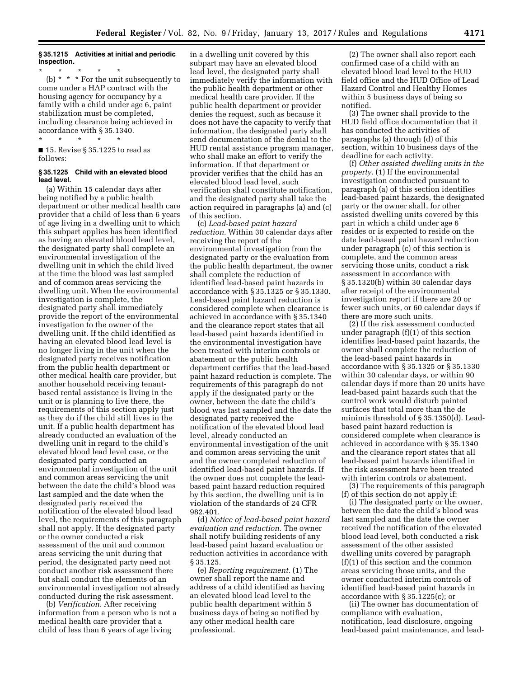## **§ 35.1215 Activities at initial and periodic inspection.**

\* \* \* \* \* (b) \* \* \* For the unit subsequently to come under a HAP contract with the housing agency for occupancy by a family with a child under age 6, paint stabilization must be completed, including clearance being achieved in accordance with § 35.1340.

# \* \* \* \* \*

■ 15. Revise § 35.1225 to read as follows:

### **§ 35.1225 Child with an elevated blood lead level.**

(a) Within 15 calendar days after being notified by a public health department or other medical health care provider that a child of less than 6 years of age living in a dwelling unit to which this subpart applies has been identified as having an elevated blood lead level, the designated party shall complete an environmental investigation of the dwelling unit in which the child lived at the time the blood was last sampled and of common areas servicing the dwelling unit. When the environmental investigation is complete, the designated party shall immediately provide the report of the environmental investigation to the owner of the dwelling unit. If the child identified as having an elevated blood lead level is no longer living in the unit when the designated party receives notification from the public health department or other medical health care provider, but another household receiving tenantbased rental assistance is living in the unit or is planning to live there, the requirements of this section apply just as they do if the child still lives in the unit. If a public health department has already conducted an evaluation of the dwelling unit in regard to the child's elevated blood lead level case, or the designated party conducted an environmental investigation of the unit and common areas servicing the unit between the date the child's blood was last sampled and the date when the designated party received the notification of the elevated blood lead level, the requirements of this paragraph shall not apply. If the designated party or the owner conducted a risk assessment of the unit and common areas servicing the unit during that period, the designated party need not conduct another risk assessment there but shall conduct the elements of an environmental investigation not already conducted during the risk assessment.

(b) *Verification.* After receiving information from a person who is not a medical health care provider that a child of less than 6 years of age living

in a dwelling unit covered by this subpart may have an elevated blood lead level, the designated party shall immediately verify the information with the public health department or other medical health care provider. If the public health department or provider denies the request, such as because it does not have the capacity to verify that information, the designated party shall send documentation of the denial to the HUD rental assistance program manager, who shall make an effort to verify the information. If that department or provider verifies that the child has an elevated blood lead level, such verification shall constitute notification, and the designated party shall take the action required in paragraphs (a) and (c) of this section.

(c) *Lead-based paint hazard reduction.* Within 30 calendar days after receiving the report of the environmental investigation from the designated party or the evaluation from the public health department, the owner shall complete the reduction of identified lead-based paint hazards in accordance with § 35.1325 or § 35.1330. Lead-based paint hazard reduction is considered complete when clearance is achieved in accordance with § 35.1340 and the clearance report states that all lead-based paint hazards identified in the environmental investigation have been treated with interim controls or abatement or the public health department certifies that the lead-based paint hazard reduction is complete. The requirements of this paragraph do not apply if the designated party or the owner, between the date the child's blood was last sampled and the date the designated party received the notification of the elevated blood lead level, already conducted an environmental investigation of the unit and common areas servicing the unit and the owner completed reduction of identified lead-based paint hazards. If the owner does not complete the leadbased paint hazard reduction required by this section, the dwelling unit is in violation of the standards of 24 CFR 982.401.

(d) *Notice of lead-based paint hazard evaluation and reduction.* The owner shall notify building residents of any lead-based paint hazard evaluation or reduction activities in accordance with § 35.125.

(e) *Reporting requirement.* (1) The owner shall report the name and address of a child identified as having an elevated blood lead level to the public health department within 5 business days of being so notified by any other medical health care professional.

(2) The owner shall also report each confirmed case of a child with an elevated blood lead level to the HUD field office and the HUD Office of Lead Hazard Control and Healthy Homes within 5 business days of being so notified.

(3) The owner shall provide to the HUD field office documentation that it has conducted the activities of paragraphs (a) through (d) of this section, within 10 business days of the deadline for each activity.

(f) *Other assisted dwelling units in the property.* (1) If the environmental investigation conducted pursuant to paragraph (a) of this section identifies lead-based paint hazards, the designated party or the owner shall, for other assisted dwelling units covered by this part in which a child under age 6 resides or is expected to reside on the date lead-based paint hazard reduction under paragraph (c) of this section is complete, and the common areas servicing those units, conduct a risk assessment in accordance with § 35.1320(b) within 30 calendar days after receipt of the environmental investigation report if there are 20 or fewer such units, or 60 calendar days if there are more such units.

(2) If the risk assessment conducted under paragraph (f)(1) of this section identifies lead-based paint hazards, the owner shall complete the reduction of the lead-based paint hazards in accordance with § 35.1325 or § 35.1330 within 30 calendar days, or within 90 calendar days if more than 20 units have lead-based paint hazards such that the control work would disturb painted surfaces that total more than the de minimis threshold of § 35.1350(d). Leadbased paint hazard reduction is considered complete when clearance is achieved in accordance with § 35.1340 and the clearance report states that all lead-based paint hazards identified in the risk assessment have been treated with interim controls or abatement.

(3) The requirements of this paragraph (f) of this section do not apply if:

(i) The designated party or the owner, between the date the child's blood was last sampled and the date the owner received the notification of the elevated blood lead level, both conducted a risk assessment of the other assisted dwelling units covered by paragraph (f)(1) of this section and the common areas servicing those units, and the owner conducted interim controls of identified lead-based paint hazards in accordance with § 35.1225(c); or

(ii) The owner has documentation of compliance with evaluation, notification, lead disclosure, ongoing lead-based paint maintenance, and lead